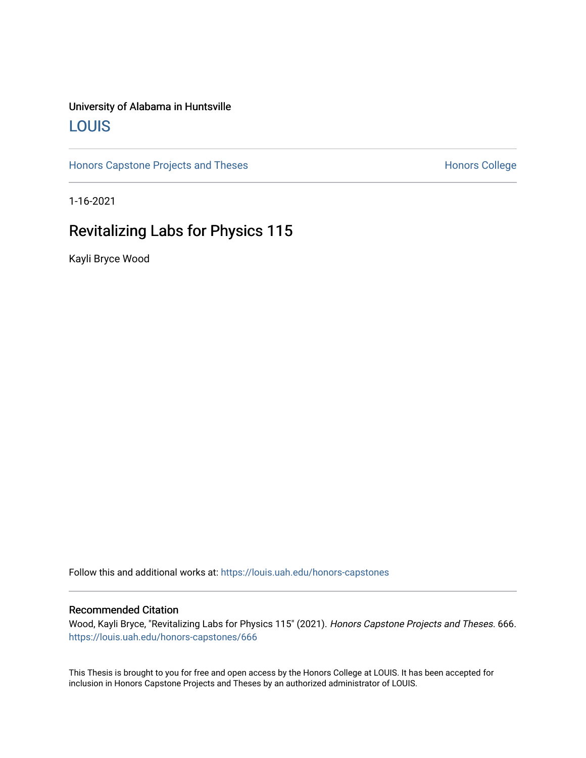# University of Alabama in Huntsville [LOUIS](https://louis.uah.edu/)

[Honors Capstone Projects and Theses](https://louis.uah.edu/honors-capstones) **Honors College** Honors College

1-16-2021

# Revitalizing Labs for Physics 115

Kayli Bryce Wood

Follow this and additional works at: [https://louis.uah.edu/honors-capstones](https://louis.uah.edu/honors-capstones?utm_source=louis.uah.edu%2Fhonors-capstones%2F666&utm_medium=PDF&utm_campaign=PDFCoverPages) 

#### Recommended Citation

Wood, Kayli Bryce, "Revitalizing Labs for Physics 115" (2021). Honors Capstone Projects and Theses. 666. [https://louis.uah.edu/honors-capstones/666](https://louis.uah.edu/honors-capstones/666?utm_source=louis.uah.edu%2Fhonors-capstones%2F666&utm_medium=PDF&utm_campaign=PDFCoverPages) 

This Thesis is brought to you for free and open access by the Honors College at LOUIS. It has been accepted for inclusion in Honors Capstone Projects and Theses by an authorized administrator of LOUIS.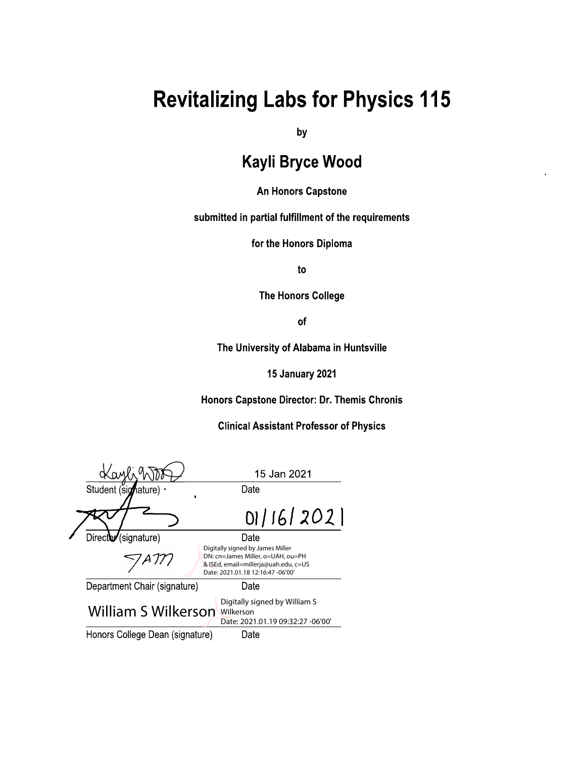# **Revitalizing Labs for Physics 115**

by

# **Kayli Bryce Wood**

## **An Honors Capstone**

submitted in partial fulfillment of the requirements

for the Honors Diploma

to

**The Honors College** 

of

The University of Alabama in Huntsville

**15 January 2021** 

Honors Capstone Director: Dr. Themis Chronis

**Clinical Assistant Professor of Physics** 

|                                                                                                        | 15 Jan 2021                                                                                                                                        |
|--------------------------------------------------------------------------------------------------------|----------------------------------------------------------------------------------------------------------------------------------------------------|
| Student (signature) .                                                                                  | Date                                                                                                                                               |
|                                                                                                        | 01/16/2021                                                                                                                                         |
| Directo (signature)                                                                                    | Date                                                                                                                                               |
|                                                                                                        | Digitally signed by James Miller<br>DN: cn=James Miller, o=UAH, ou=PH<br>& ISEd, email=millerja@uah.edu, c=US<br>Date: 2021.01.18 12:16:47 -06'00' |
| Department Chair (signature)                                                                           | Date                                                                                                                                               |
| Digitally signed by William S<br>William S Wilkerson<br>Wilkerson<br>Date: 2021.01.19 09:32:27 -06'00' |                                                                                                                                                    |
| Honors College Dean (signature)<br>Date                                                                |                                                                                                                                                    |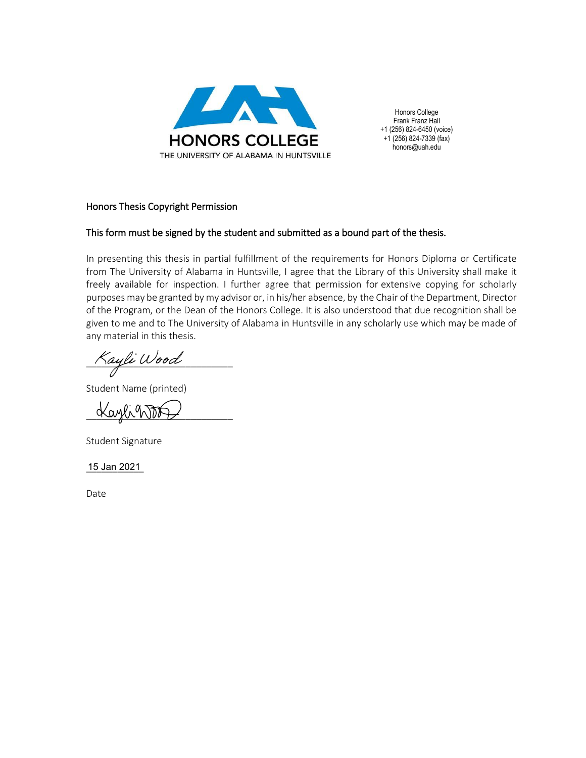

Honors College Frank Franz Hall +1 (256) 824-6450 (voice) +1 (256) 824-7339 (fax) honors@uah.edu

#### Honors Thesis Copyright Permission

#### This form must be signed by the student and submitted as a bound part of the thesis.

In presenting this thesis in partial fulfillment of the requirements for Honors Diploma or Certificate from The University of Alabama in Huntsville, I agree that the Library of this University shall make it freely available for inspection. I further agree that permission for extensive copying for scholarly purposes may be granted by my advisor or, in his/her absence, by the Chair of the Department, Director of the Program, or the Dean of the Honors College. It is also understood that due recognition shall be given to me and to The University of Alabama in Huntsville in any scholarly use which may be made of any material in this thesis.

Kayli Wood

Student Name (printed)

Kaylint

Student Signature

15 Jan 2021

Date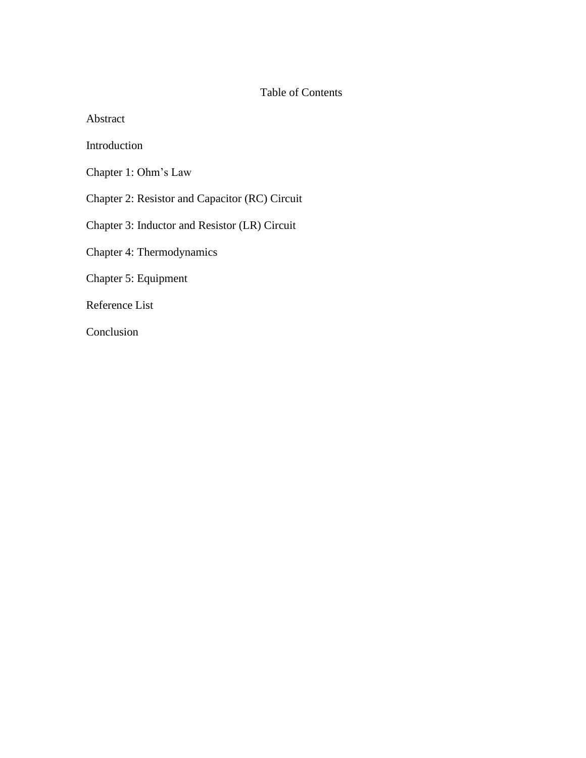## Table of Contents

Abstract

Introduction

Chapter 1: Ohm's Law

Chapter 2: Resistor and Capacitor (RC) Circuit

Chapter 3: Inductor and Resistor (LR) Circuit

Chapter 4: Thermodynamics

Chapter 5: Equipment

Reference List

Conclusion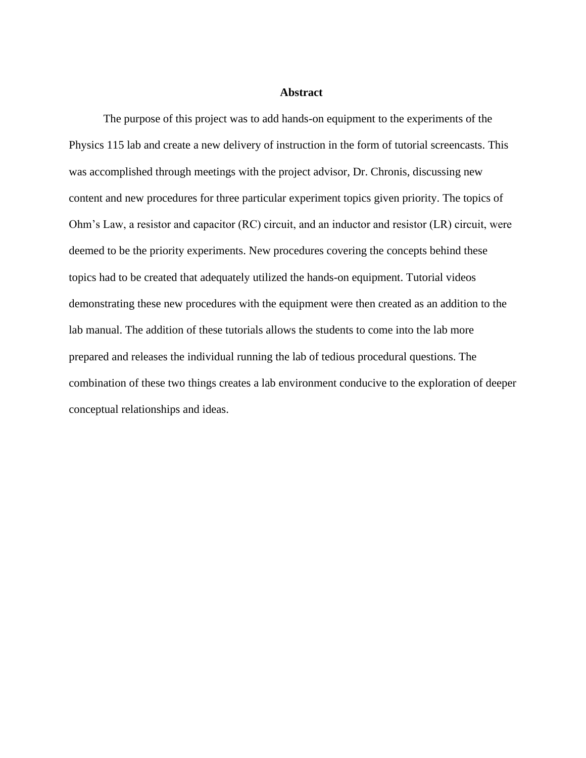#### **Abstract**

The purpose of this project was to add hands-on equipment to the experiments of the Physics 115 lab and create a new delivery of instruction in the form of tutorial screencasts. This was accomplished through meetings with the project advisor, Dr. Chronis, discussing new content and new procedures for three particular experiment topics given priority. The topics of Ohm's Law, a resistor and capacitor (RC) circuit, and an inductor and resistor (LR) circuit, were deemed to be the priority experiments. New procedures covering the concepts behind these topics had to be created that adequately utilized the hands-on equipment. Tutorial videos demonstrating these new procedures with the equipment were then created as an addition to the lab manual. The addition of these tutorials allows the students to come into the lab more prepared and releases the individual running the lab of tedious procedural questions. The combination of these two things creates a lab environment conducive to the exploration of deeper conceptual relationships and ideas.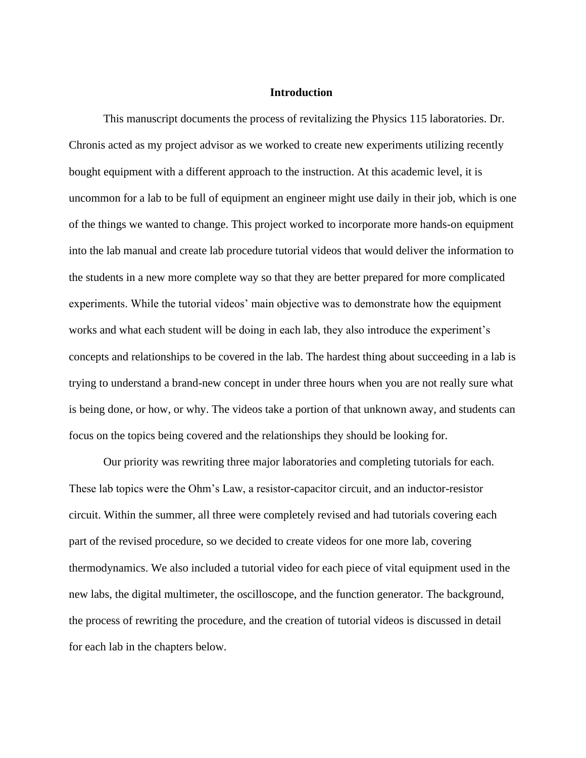#### **Introduction**

This manuscript documents the process of revitalizing the Physics 115 laboratories. Dr. Chronis acted as my project advisor as we worked to create new experiments utilizing recently bought equipment with a different approach to the instruction. At this academic level, it is uncommon for a lab to be full of equipment an engineer might use daily in their job, which is one of the things we wanted to change. This project worked to incorporate more hands-on equipment into the lab manual and create lab procedure tutorial videos that would deliver the information to the students in a new more complete way so that they are better prepared for more complicated experiments. While the tutorial videos' main objective was to demonstrate how the equipment works and what each student will be doing in each lab, they also introduce the experiment's concepts and relationships to be covered in the lab. The hardest thing about succeeding in a lab is trying to understand a brand-new concept in under three hours when you are not really sure what is being done, or how, or why. The videos take a portion of that unknown away, and students can focus on the topics being covered and the relationships they should be looking for.

Our priority was rewriting three major laboratories and completing tutorials for each. These lab topics were the Ohm's Law, a resistor-capacitor circuit, and an inductor-resistor circuit. Within the summer, all three were completely revised and had tutorials covering each part of the revised procedure, so we decided to create videos for one more lab, covering thermodynamics. We also included a tutorial video for each piece of vital equipment used in the new labs, the digital multimeter, the oscilloscope, and the function generator. The background, the process of rewriting the procedure, and the creation of tutorial videos is discussed in detail for each lab in the chapters below.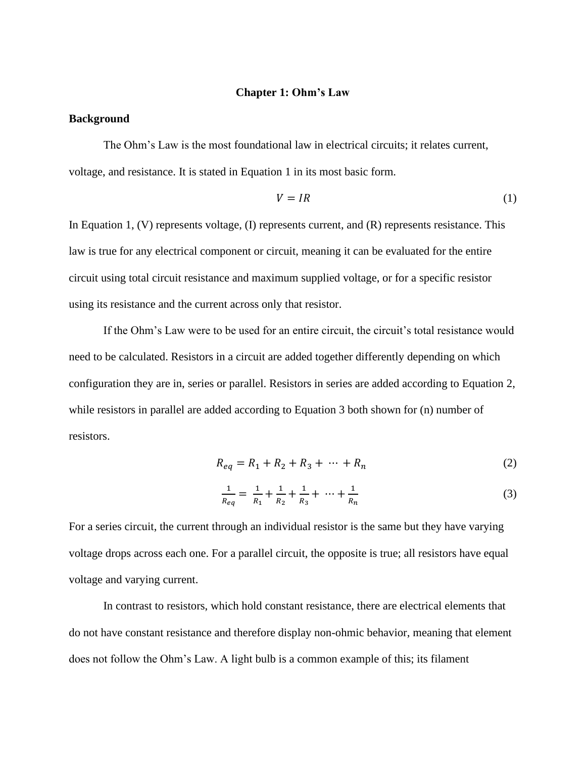#### **Chapter 1: Ohm's Law**

#### **Background**

The Ohm's Law is the most foundational law in electrical circuits; it relates current, voltage, and resistance. It is stated in Equation 1 in its most basic form.

$$
V = IR \tag{1}
$$

In Equation 1, (V) represents voltage, (I) represents current, and (R) represents resistance. This law is true for any electrical component or circuit, meaning it can be evaluated for the entire circuit using total circuit resistance and maximum supplied voltage, or for a specific resistor using its resistance and the current across only that resistor.

If the Ohm's Law were to be used for an entire circuit, the circuit's total resistance would need to be calculated. Resistors in a circuit are added together differently depending on which configuration they are in, series or parallel. Resistors in series are added according to Equation 2, while resistors in parallel are added according to Equation 3 both shown for (n) number of resistors.

$$
R_{eq} = R_1 + R_2 + R_3 + \dots + R_n \tag{2}
$$

$$
\frac{1}{R_{eq}} = \frac{1}{R_1} + \frac{1}{R_2} + \frac{1}{R_3} + \dots + \frac{1}{R_n}
$$
 (3)

For a series circuit, the current through an individual resistor is the same but they have varying voltage drops across each one. For a parallel circuit, the opposite is true; all resistors have equal voltage and varying current.

In contrast to resistors, which hold constant resistance, there are electrical elements that do not have constant resistance and therefore display non-ohmic behavior, meaning that element does not follow the Ohm's Law. A light bulb is a common example of this; its filament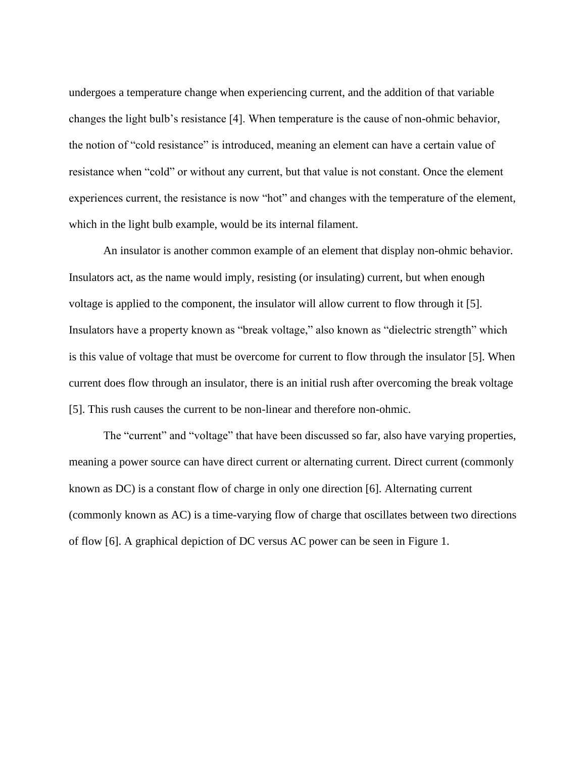undergoes a temperature change when experiencing current, and the addition of that variable changes the light bulb's resistance [4]. When temperature is the cause of non-ohmic behavior, the notion of "cold resistance" is introduced, meaning an element can have a certain value of resistance when "cold" or without any current, but that value is not constant. Once the element experiences current, the resistance is now "hot" and changes with the temperature of the element, which in the light bulb example, would be its internal filament.

An insulator is another common example of an element that display non-ohmic behavior. Insulators act, as the name would imply, resisting (or insulating) current, but when enough voltage is applied to the component, the insulator will allow current to flow through it [5]. Insulators have a property known as "break voltage," also known as "dielectric strength" which is this value of voltage that must be overcome for current to flow through the insulator [5]. When current does flow through an insulator, there is an initial rush after overcoming the break voltage [5]. This rush causes the current to be non-linear and therefore non-ohmic.

The "current" and "voltage" that have been discussed so far, also have varying properties, meaning a power source can have direct current or alternating current. Direct current (commonly known as DC) is a constant flow of charge in only one direction [6]. Alternating current (commonly known as AC) is a time-varying flow of charge that oscillates between two directions of flow [6]. A graphical depiction of DC versus AC power can be seen in Figure 1.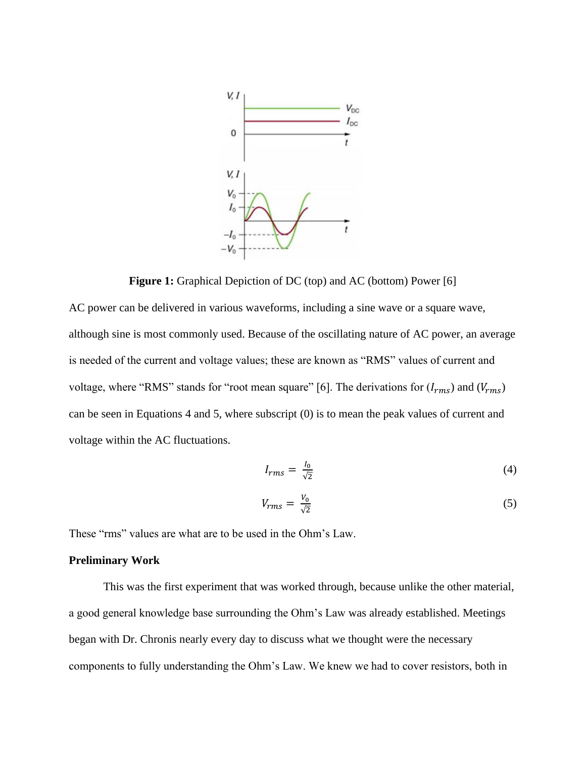

**Figure 1:** Graphical Depiction of DC (top) and AC (bottom) Power [6]

AC power can be delivered in various waveforms, including a sine wave or a square wave, although sine is most commonly used. Because of the oscillating nature of AC power, an average is needed of the current and voltage values; these are known as "RMS" values of current and voltage, where "RMS" stands for "root mean square" [6]. The derivations for  $(l_{rms})$  and  $(V_{rms})$ can be seen in Equations 4 and 5, where subscript (0) is to mean the peak values of current and voltage within the AC fluctuations.

$$
I_{rms} = \frac{I_0}{\sqrt{2}}\tag{4}
$$

$$
V_{rms} = \frac{V_0}{\sqrt{2}}\tag{5}
$$

These "rms" values are what are to be used in the Ohm's Law.

### **Preliminary Work**

This was the first experiment that was worked through, because unlike the other material, a good general knowledge base surrounding the Ohm's Law was already established. Meetings began with Dr. Chronis nearly every day to discuss what we thought were the necessary components to fully understanding the Ohm's Law. We knew we had to cover resistors, both in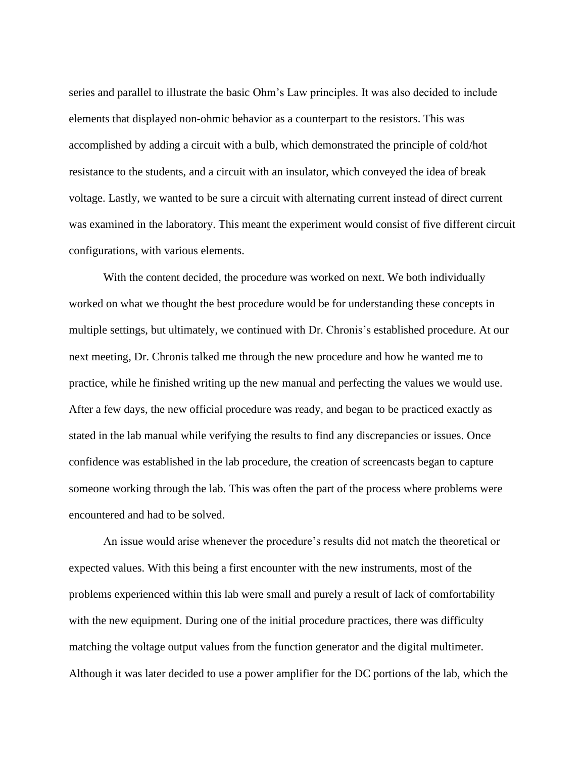series and parallel to illustrate the basic Ohm's Law principles. It was also decided to include elements that displayed non-ohmic behavior as a counterpart to the resistors. This was accomplished by adding a circuit with a bulb, which demonstrated the principle of cold/hot resistance to the students, and a circuit with an insulator, which conveyed the idea of break voltage. Lastly, we wanted to be sure a circuit with alternating current instead of direct current was examined in the laboratory. This meant the experiment would consist of five different circuit configurations, with various elements.

With the content decided, the procedure was worked on next. We both individually worked on what we thought the best procedure would be for understanding these concepts in multiple settings, but ultimately, we continued with Dr. Chronis's established procedure. At our next meeting, Dr. Chronis talked me through the new procedure and how he wanted me to practice, while he finished writing up the new manual and perfecting the values we would use. After a few days, the new official procedure was ready, and began to be practiced exactly as stated in the lab manual while verifying the results to find any discrepancies or issues. Once confidence was established in the lab procedure, the creation of screencasts began to capture someone working through the lab. This was often the part of the process where problems were encountered and had to be solved.

An issue would arise whenever the procedure's results did not match the theoretical or expected values. With this being a first encounter with the new instruments, most of the problems experienced within this lab were small and purely a result of lack of comfortability with the new equipment. During one of the initial procedure practices, there was difficulty matching the voltage output values from the function generator and the digital multimeter. Although it was later decided to use a power amplifier for the DC portions of the lab, which the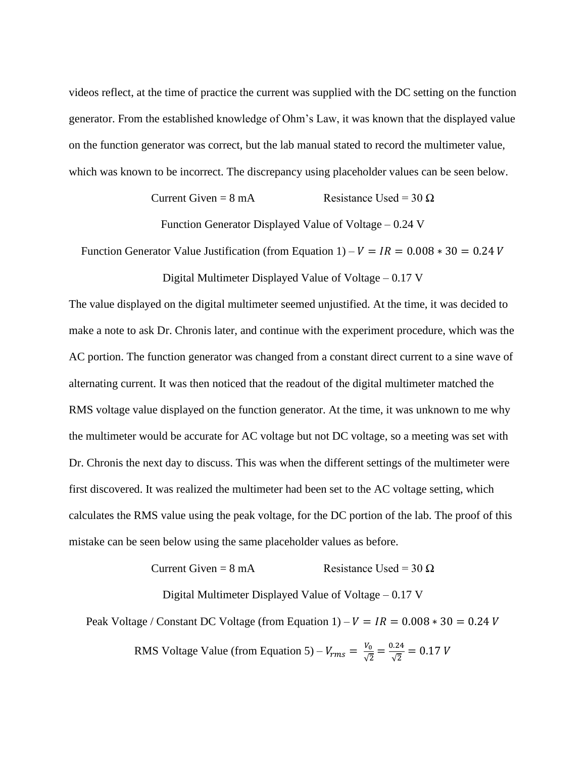videos reflect, at the time of practice the current was supplied with the DC setting on the function generator. From the established knowledge of Ohm's Law, it was known that the displayed value on the function generator was correct, but the lab manual stated to record the multimeter value, which was known to be incorrect. The discrepancy using placeholder values can be seen below.

Current Given =  $8 \text{ mA}$  Resistance Used =  $30 \Omega$ 

Function Generator Displayed Value of Voltage – 0.24 V

Function Generator Value Justification (from Equation 1) –  $V = IR = 0.008 * 30 = 0.24 V$ 

Digital Multimeter Displayed Value of Voltage – 0.17 V

The value displayed on the digital multimeter seemed unjustified. At the time, it was decided to make a note to ask Dr. Chronis later, and continue with the experiment procedure, which was the AC portion. The function generator was changed from a constant direct current to a sine wave of alternating current. It was then noticed that the readout of the digital multimeter matched the RMS voltage value displayed on the function generator. At the time, it was unknown to me why the multimeter would be accurate for AC voltage but not DC voltage, so a meeting was set with Dr. Chronis the next day to discuss. This was when the different settings of the multimeter were first discovered. It was realized the multimeter had been set to the AC voltage setting, which calculates the RMS value using the peak voltage, for the DC portion of the lab. The proof of this mistake can be seen below using the same placeholder values as before.

Current Given =  $8 \text{ mA}$  Resistance Used =  $30 \Omega$ 

Digital Multimeter Displayed Value of Voltage – 0.17 V

Peak Voltage / Constant DC Voltage (from Equation 1) –  $V = IR = 0.008 * 30 = 0.24 V$ 

RMS Voltage Value (from Equation 5) –  $V_{rms} = \frac{V_0}{\sqrt{2}}$  $\frac{V_0}{\sqrt{2}} = \frac{0.24}{\sqrt{2}}$  $\frac{V}{\sqrt{2}} = 0.17 V$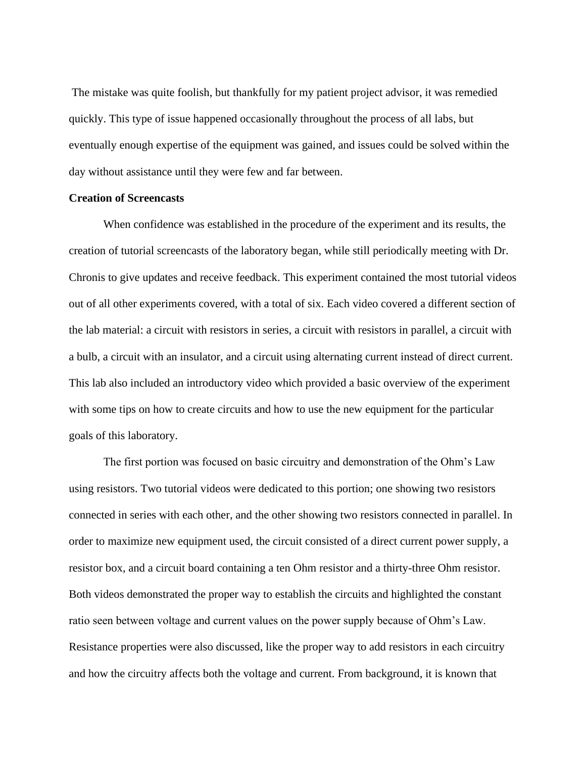The mistake was quite foolish, but thankfully for my patient project advisor, it was remedied quickly. This type of issue happened occasionally throughout the process of all labs, but eventually enough expertise of the equipment was gained, and issues could be solved within the day without assistance until they were few and far between.

#### **Creation of Screencasts**

When confidence was established in the procedure of the experiment and its results, the creation of tutorial screencasts of the laboratory began, while still periodically meeting with Dr. Chronis to give updates and receive feedback. This experiment contained the most tutorial videos out of all other experiments covered, with a total of six. Each video covered a different section of the lab material: a circuit with resistors in series, a circuit with resistors in parallel, a circuit with a bulb, a circuit with an insulator, and a circuit using alternating current instead of direct current. This lab also included an introductory video which provided a basic overview of the experiment with some tips on how to create circuits and how to use the new equipment for the particular goals of this laboratory.

The first portion was focused on basic circuitry and demonstration of the Ohm's Law using resistors. Two tutorial videos were dedicated to this portion; one showing two resistors connected in series with each other, and the other showing two resistors connected in parallel. In order to maximize new equipment used, the circuit consisted of a direct current power supply, a resistor box, and a circuit board containing a ten Ohm resistor and a thirty-three Ohm resistor. Both videos demonstrated the proper way to establish the circuits and highlighted the constant ratio seen between voltage and current values on the power supply because of Ohm's Law. Resistance properties were also discussed, like the proper way to add resistors in each circuitry and how the circuitry affects both the voltage and current. From background, it is known that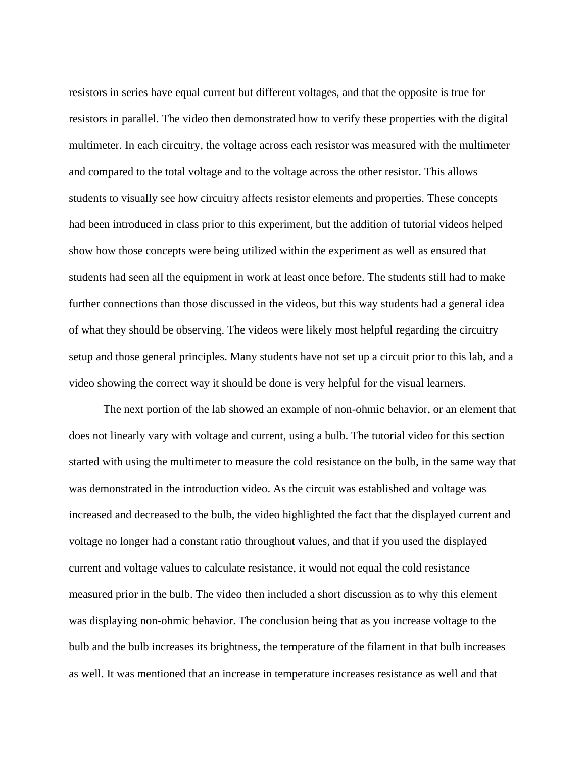resistors in series have equal current but different voltages, and that the opposite is true for resistors in parallel. The video then demonstrated how to verify these properties with the digital multimeter. In each circuitry, the voltage across each resistor was measured with the multimeter and compared to the total voltage and to the voltage across the other resistor. This allows students to visually see how circuitry affects resistor elements and properties. These concepts had been introduced in class prior to this experiment, but the addition of tutorial videos helped show how those concepts were being utilized within the experiment as well as ensured that students had seen all the equipment in work at least once before. The students still had to make further connections than those discussed in the videos, but this way students had a general idea of what they should be observing. The videos were likely most helpful regarding the circuitry setup and those general principles. Many students have not set up a circuit prior to this lab, and a video showing the correct way it should be done is very helpful for the visual learners.

The next portion of the lab showed an example of non-ohmic behavior, or an element that does not linearly vary with voltage and current, using a bulb. The tutorial video for this section started with using the multimeter to measure the cold resistance on the bulb, in the same way that was demonstrated in the introduction video. As the circuit was established and voltage was increased and decreased to the bulb, the video highlighted the fact that the displayed current and voltage no longer had a constant ratio throughout values, and that if you used the displayed current and voltage values to calculate resistance, it would not equal the cold resistance measured prior in the bulb. The video then included a short discussion as to why this element was displaying non-ohmic behavior. The conclusion being that as you increase voltage to the bulb and the bulb increases its brightness, the temperature of the filament in that bulb increases as well. It was mentioned that an increase in temperature increases resistance as well and that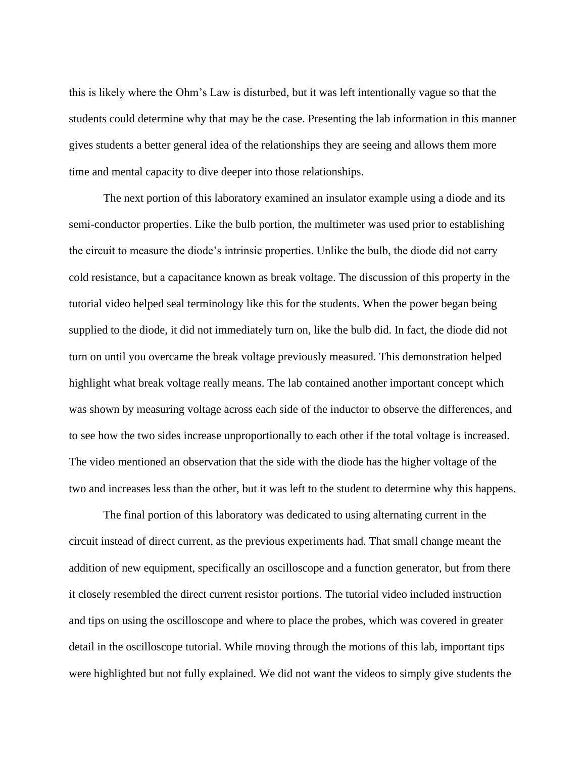this is likely where the Ohm's Law is disturbed, but it was left intentionally vague so that the students could determine why that may be the case. Presenting the lab information in this manner gives students a better general idea of the relationships they are seeing and allows them more time and mental capacity to dive deeper into those relationships.

The next portion of this laboratory examined an insulator example using a diode and its semi-conductor properties. Like the bulb portion, the multimeter was used prior to establishing the circuit to measure the diode's intrinsic properties. Unlike the bulb, the diode did not carry cold resistance, but a capacitance known as break voltage. The discussion of this property in the tutorial video helped seal terminology like this for the students. When the power began being supplied to the diode, it did not immediately turn on, like the bulb did. In fact, the diode did not turn on until you overcame the break voltage previously measured. This demonstration helped highlight what break voltage really means. The lab contained another important concept which was shown by measuring voltage across each side of the inductor to observe the differences, and to see how the two sides increase unproportionally to each other if the total voltage is increased. The video mentioned an observation that the side with the diode has the higher voltage of the two and increases less than the other, but it was left to the student to determine why this happens.

The final portion of this laboratory was dedicated to using alternating current in the circuit instead of direct current, as the previous experiments had. That small change meant the addition of new equipment, specifically an oscilloscope and a function generator, but from there it closely resembled the direct current resistor portions. The tutorial video included instruction and tips on using the oscilloscope and where to place the probes, which was covered in greater detail in the oscilloscope tutorial. While moving through the motions of this lab, important tips were highlighted but not fully explained. We did not want the videos to simply give students the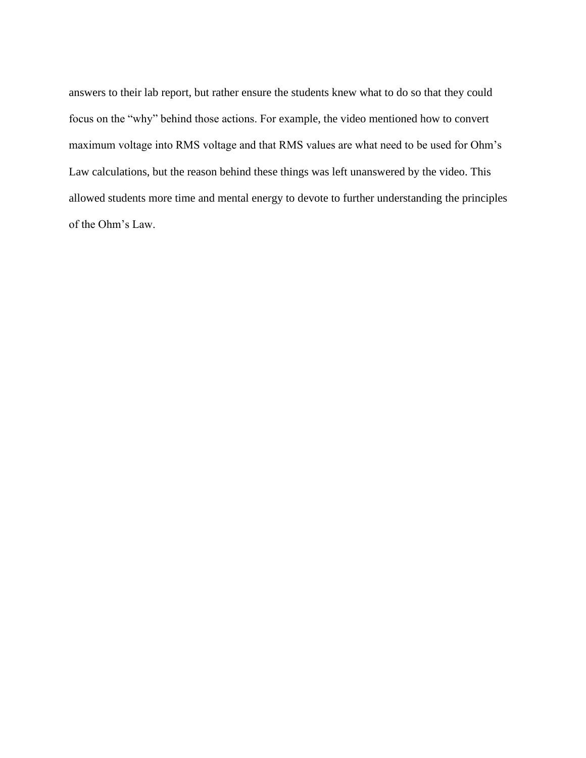answers to their lab report, but rather ensure the students knew what to do so that they could focus on the "why" behind those actions. For example, the video mentioned how to convert maximum voltage into RMS voltage and that RMS values are what need to be used for Ohm's Law calculations, but the reason behind these things was left unanswered by the video. This allowed students more time and mental energy to devote to further understanding the principles of the Ohm's Law.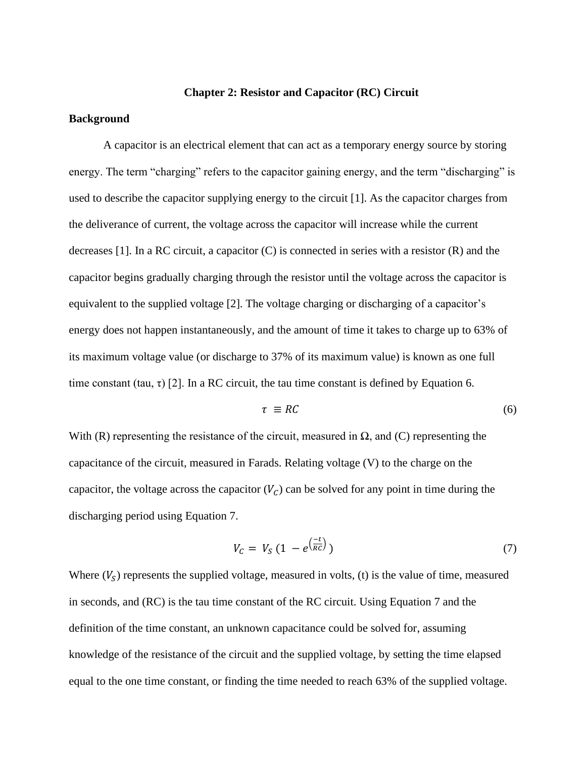#### **Chapter 2: Resistor and Capacitor (RC) Circuit**

#### **Background**

A capacitor is an electrical element that can act as a temporary energy source by storing energy. The term "charging" refers to the capacitor gaining energy, and the term "discharging" is used to describe the capacitor supplying energy to the circuit [1]. As the capacitor charges from the deliverance of current, the voltage across the capacitor will increase while the current decreases  $[1]$ . In a RC circuit, a capacitor  $(C)$  is connected in series with a resistor  $(R)$  and the capacitor begins gradually charging through the resistor until the voltage across the capacitor is equivalent to the supplied voltage [2]. The voltage charging or discharging of a capacitor's energy does not happen instantaneously, and the amount of time it takes to charge up to 63% of its maximum voltage value (or discharge to 37% of its maximum value) is known as one full time constant (tau,  $\tau$ ) [2]. In a RC circuit, the tau time constant is defined by Equation 6.

$$
\tau \equiv RC \tag{6}
$$

With (R) representing the resistance of the circuit, measured in  $\Omega$ , and (C) representing the capacitance of the circuit, measured in Farads. Relating voltage (V) to the charge on the capacitor, the voltage across the capacitor  $(V_c)$  can be solved for any point in time during the discharging period using Equation 7.

$$
V_c = V_S \left( 1 - e^{\left( \frac{-t}{RC} \right)} \right) \tag{7}
$$

Where  $(V<sub>S</sub>)$  represents the supplied voltage, measured in volts, (t) is the value of time, measured in seconds, and (RC) is the tau time constant of the RC circuit. Using Equation 7 and the definition of the time constant, an unknown capacitance could be solved for, assuming knowledge of the resistance of the circuit and the supplied voltage, by setting the time elapsed equal to the one time constant, or finding the time needed to reach 63% of the supplied voltage.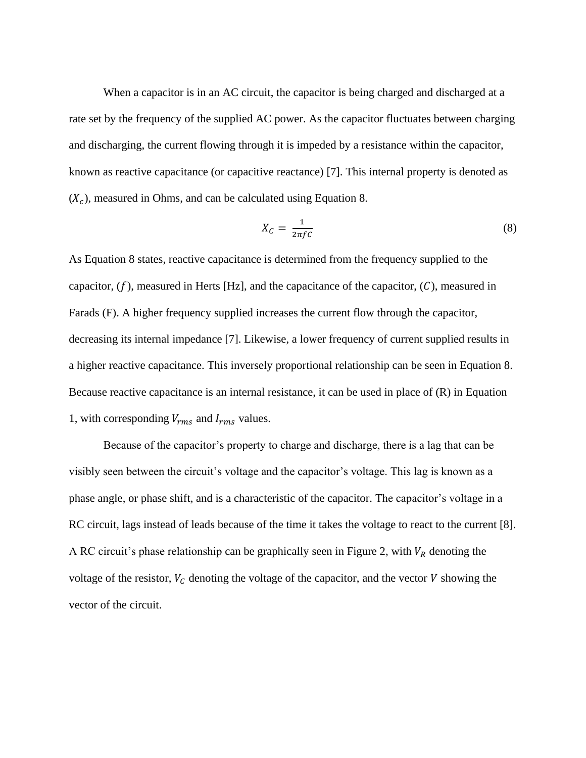When a capacitor is in an AC circuit, the capacitor is being charged and discharged at a rate set by the frequency of the supplied AC power. As the capacitor fluctuates between charging and discharging, the current flowing through it is impeded by a resistance within the capacitor, known as reactive capacitance (or capacitive reactance) [7]. This internal property is denoted as  $(X_c)$ , measured in Ohms, and can be calculated using Equation 8.

$$
X_C = \frac{1}{2\pi f C} \tag{8}
$$

As Equation 8 states, reactive capacitance is determined from the frequency supplied to the capacitor,  $(f)$ , measured in Herts [Hz], and the capacitance of the capacitor,  $(C)$ , measured in Farads (F). A higher frequency supplied increases the current flow through the capacitor, decreasing its internal impedance [7]. Likewise, a lower frequency of current supplied results in a higher reactive capacitance. This inversely proportional relationship can be seen in Equation 8. Because reactive capacitance is an internal resistance, it can be used in place of (R) in Equation 1, with corresponding  $V_{rms}$  and  $I_{rms}$  values.

Because of the capacitor's property to charge and discharge, there is a lag that can be visibly seen between the circuit's voltage and the capacitor's voltage. This lag is known as a phase angle, or phase shift, and is a characteristic of the capacitor. The capacitor's voltage in a RC circuit, lags instead of leads because of the time it takes the voltage to react to the current [8]. A RC circuit's phase relationship can be graphically seen in Figure 2, with  $V_R$  denoting the voltage of the resistor,  $V_c$  denoting the voltage of the capacitor, and the vector  $V$  showing the vector of the circuit.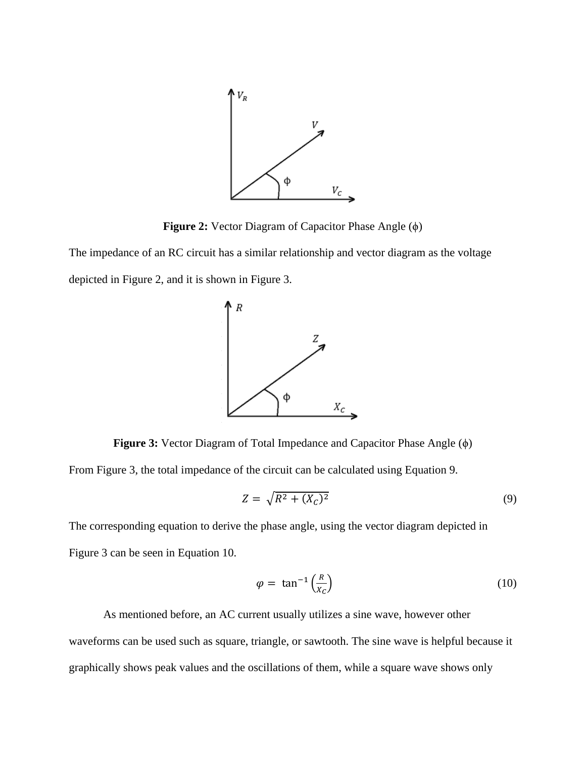

**Figure 2:** Vector Diagram of Capacitor Phase Angle (ϕ)

The impedance of an RC circuit has a similar relationship and vector diagram as the voltage depicted in Figure 2, and it is shown in Figure 3.



**Figure 3:** Vector Diagram of Total Impedance and Capacitor Phase Angle (ϕ) From Figure 3, the total impedance of the circuit can be calculated using Equation 9.

$$
Z = \sqrt{R^2 + (X_C)^2} \tag{9}
$$

The corresponding equation to derive the phase angle, using the vector diagram depicted in Figure 3 can be seen in Equation 10.

$$
\varphi = \tan^{-1}\left(\frac{R}{x_C}\right) \tag{10}
$$

As mentioned before, an AC current usually utilizes a sine wave, however other waveforms can be used such as square, triangle, or sawtooth. The sine wave is helpful because it graphically shows peak values and the oscillations of them, while a square wave shows only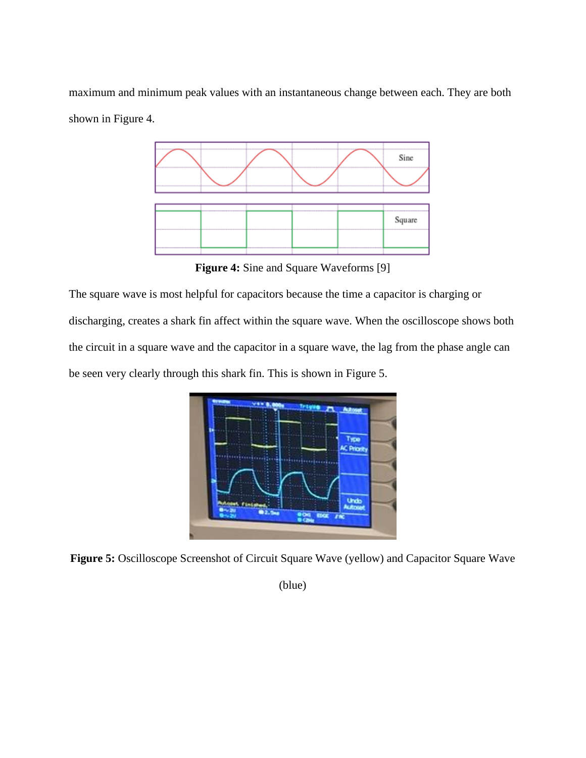maximum and minimum peak values with an instantaneous change between each. They are both shown in Figure 4.



**Figure 4:** Sine and Square Waveforms [9]

The square wave is most helpful for capacitors because the time a capacitor is charging or discharging, creates a shark fin affect within the square wave. When the oscilloscope shows both the circuit in a square wave and the capacitor in a square wave, the lag from the phase angle can be seen very clearly through this shark fin. This is shown in Figure 5.



**Figure 5:** Oscilloscope Screenshot of Circuit Square Wave (yellow) and Capacitor Square Wave

(blue)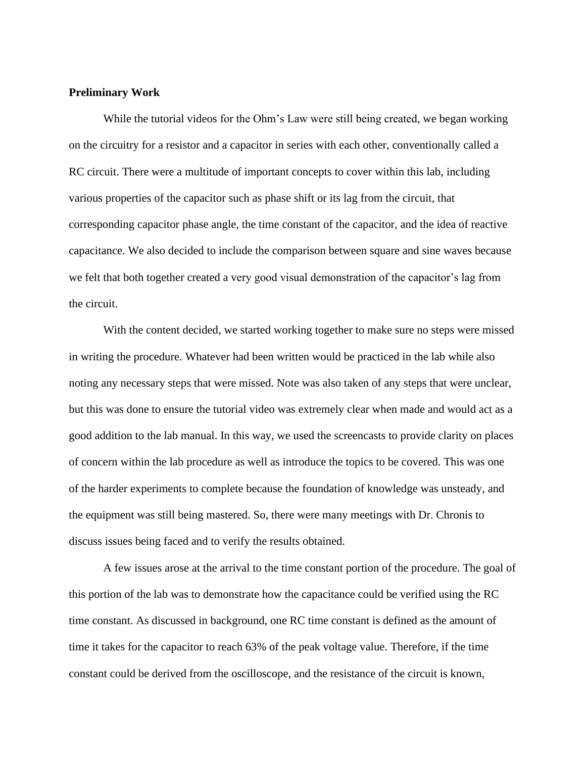#### **Preliminary Work**

While the tutorial videos for the Ohm's Law were still being created, we began working on the circuitry for a resistor and a capacitor in series with each other, conventionally called a RC circuit. There were a multitude of important concepts to cover within this lab, including various properties of the capacitor such as phase shift or its lag from the circuit, that corresponding capacitor phase angle, the time constant of the capacitor, and the idea of reactive capacitance. We also decided to include the comparison between square and sine waves because we felt that both together created a very good visual demonstration of the capacitor's lag from the circuit.

With the content decided, we started working together to make sure no steps were missed in writing the procedure. Whatever had been written would be practiced in the lab while also noting any necessary steps that were missed. Note was also taken of any steps that were unclear, but this was done to ensure the tutorial video was extremely clear when made and would act as a good addition to the lab manual. In this way, we used the screencasts to provide clarity on places of concern within the lab procedure as well as introduce the topics to be covered. This was one of the harder experiments to complete because the foundation of knowledge was unsteady, and the equipment was still being mastered. So, there were many meetings with Dr. Chronis to discuss issues being faced and to verify the results obtained.

A few issues arose at the arrival to the time constant portion of the procedure. The goal of this portion of the lab was to demonstrate how the capacitance could be verified using the RC time constant. As discussed in background, one RC time constant is defined as the amount of time it takes for the capacitor to reach 63% of the peak voltage value. Therefore, if the time constant could be derived from the oscilloscope, and the resistance of the circuit is known,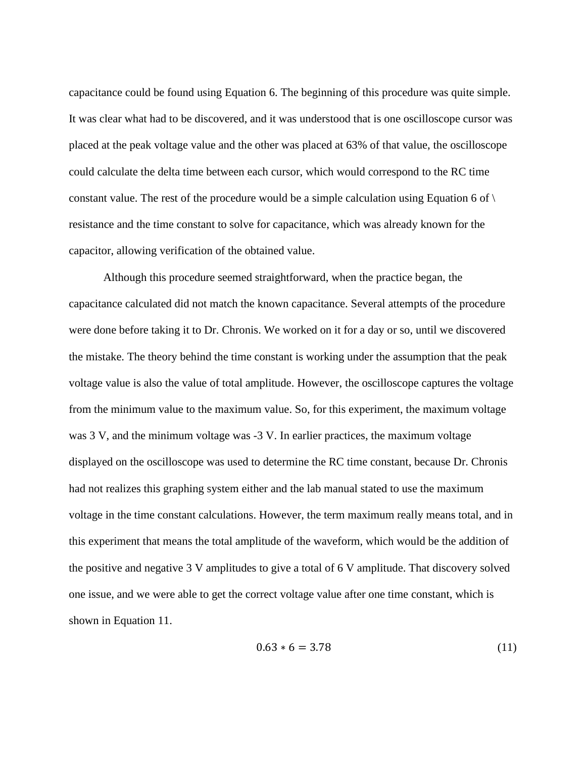capacitance could be found using Equation 6. The beginning of this procedure was quite simple. It was clear what had to be discovered, and it was understood that is one oscilloscope cursor was placed at the peak voltage value and the other was placed at 63% of that value, the oscilloscope could calculate the delta time between each cursor, which would correspond to the RC time constant value. The rest of the procedure would be a simple calculation using Equation 6 of  $\setminus$ resistance and the time constant to solve for capacitance, which was already known for the capacitor, allowing verification of the obtained value.

Although this procedure seemed straightforward, when the practice began, the capacitance calculated did not match the known capacitance. Several attempts of the procedure were done before taking it to Dr. Chronis. We worked on it for a day or so, until we discovered the mistake. The theory behind the time constant is working under the assumption that the peak voltage value is also the value of total amplitude. However, the oscilloscope captures the voltage from the minimum value to the maximum value. So, for this experiment, the maximum voltage was 3 V, and the minimum voltage was  $-3$  V. In earlier practices, the maximum voltage displayed on the oscilloscope was used to determine the RC time constant, because Dr. Chronis had not realizes this graphing system either and the lab manual stated to use the maximum voltage in the time constant calculations. However, the term maximum really means total, and in this experiment that means the total amplitude of the waveform, which would be the addition of the positive and negative 3 V amplitudes to give a total of 6 V amplitude. That discovery solved one issue, and we were able to get the correct voltage value after one time constant, which is shown in Equation 11.

$$
0.63 * 6 = 3.78 \tag{11}
$$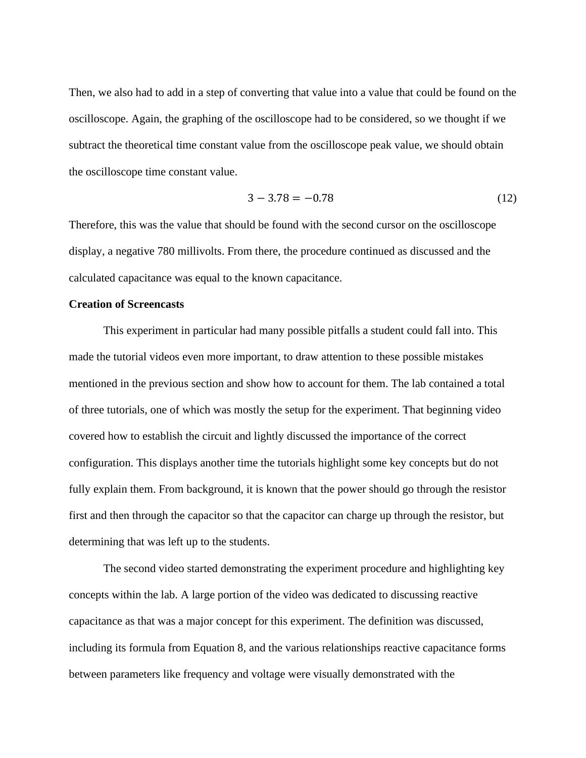Then, we also had to add in a step of converting that value into a value that could be found on the oscilloscope. Again, the graphing of the oscilloscope had to be considered, so we thought if we subtract the theoretical time constant value from the oscilloscope peak value, we should obtain the oscilloscope time constant value.

$$
3 - 3.78 = -0.78\tag{12}
$$

Therefore, this was the value that should be found with the second cursor on the oscilloscope display, a negative 780 millivolts. From there, the procedure continued as discussed and the calculated capacitance was equal to the known capacitance.

#### **Creation of Screencasts**

This experiment in particular had many possible pitfalls a student could fall into. This made the tutorial videos even more important, to draw attention to these possible mistakes mentioned in the previous section and show how to account for them. The lab contained a total of three tutorials, one of which was mostly the setup for the experiment. That beginning video covered how to establish the circuit and lightly discussed the importance of the correct configuration. This displays another time the tutorials highlight some key concepts but do not fully explain them. From background, it is known that the power should go through the resistor first and then through the capacitor so that the capacitor can charge up through the resistor, but determining that was left up to the students.

The second video started demonstrating the experiment procedure and highlighting key concepts within the lab. A large portion of the video was dedicated to discussing reactive capacitance as that was a major concept for this experiment. The definition was discussed, including its formula from Equation 8, and the various relationships reactive capacitance forms between parameters like frequency and voltage were visually demonstrated with the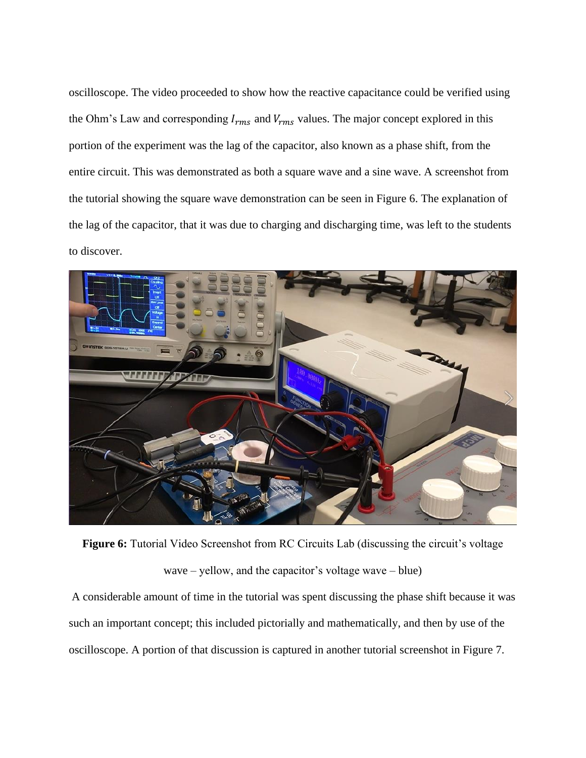oscilloscope. The video proceeded to show how the reactive capacitance could be verified using the Ohm's Law and corresponding  $I_{rms}$  and  $V_{rms}$  values. The major concept explored in this portion of the experiment was the lag of the capacitor, also known as a phase shift, from the entire circuit. This was demonstrated as both a square wave and a sine wave. A screenshot from the tutorial showing the square wave demonstration can be seen in Figure 6. The explanation of the lag of the capacitor, that it was due to charging and discharging time, was left to the students to discover.



Figure 6: Tutorial Video Screenshot from RC Circuits Lab (discussing the circuit's voltage wave – yellow, and the capacitor's voltage wave – blue)

A considerable amount of time in the tutorial was spent discussing the phase shift because it was such an important concept; this included pictorially and mathematically, and then by use of the oscilloscope. A portion of that discussion is captured in another tutorial screenshot in Figure 7.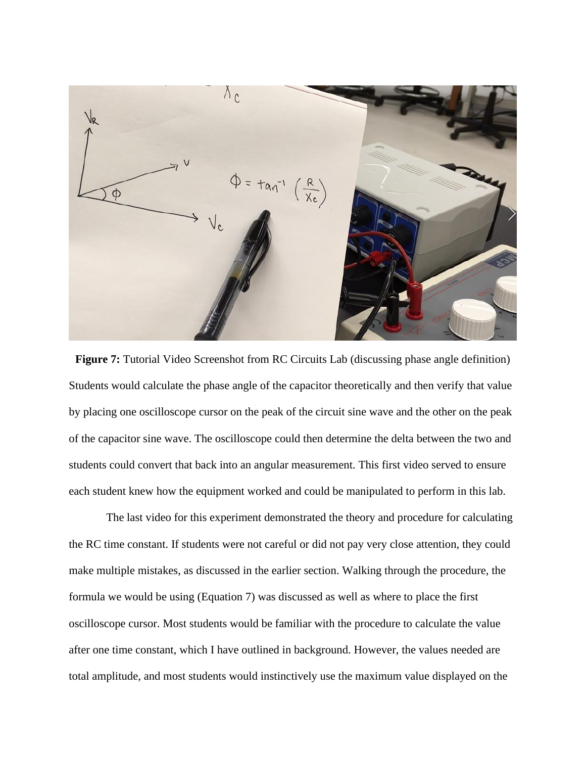

**Figure 7:** Tutorial Video Screenshot from RC Circuits Lab (discussing phase angle definition) Students would calculate the phase angle of the capacitor theoretically and then verify that value by placing one oscilloscope cursor on the peak of the circuit sine wave and the other on the peak of the capacitor sine wave. The oscilloscope could then determine the delta between the two and students could convert that back into an angular measurement. This first video served to ensure each student knew how the equipment worked and could be manipulated to perform in this lab.

The last video for this experiment demonstrated the theory and procedure for calculating the RC time constant. If students were not careful or did not pay very close attention, they could make multiple mistakes, as discussed in the earlier section. Walking through the procedure, the formula we would be using (Equation 7) was discussed as well as where to place the first oscilloscope cursor. Most students would be familiar with the procedure to calculate the value after one time constant, which I have outlined in background. However, the values needed are total amplitude, and most students would instinctively use the maximum value displayed on the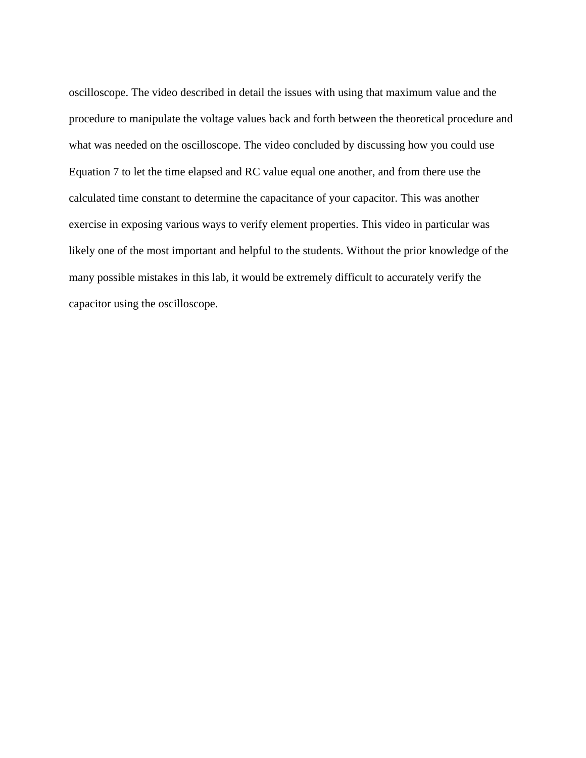oscilloscope. The video described in detail the issues with using that maximum value and the procedure to manipulate the voltage values back and forth between the theoretical procedure and what was needed on the oscilloscope. The video concluded by discussing how you could use Equation 7 to let the time elapsed and RC value equal one another, and from there use the calculated time constant to determine the capacitance of your capacitor. This was another exercise in exposing various ways to verify element properties. This video in particular was likely one of the most important and helpful to the students. Without the prior knowledge of the many possible mistakes in this lab, it would be extremely difficult to accurately verify the capacitor using the oscilloscope.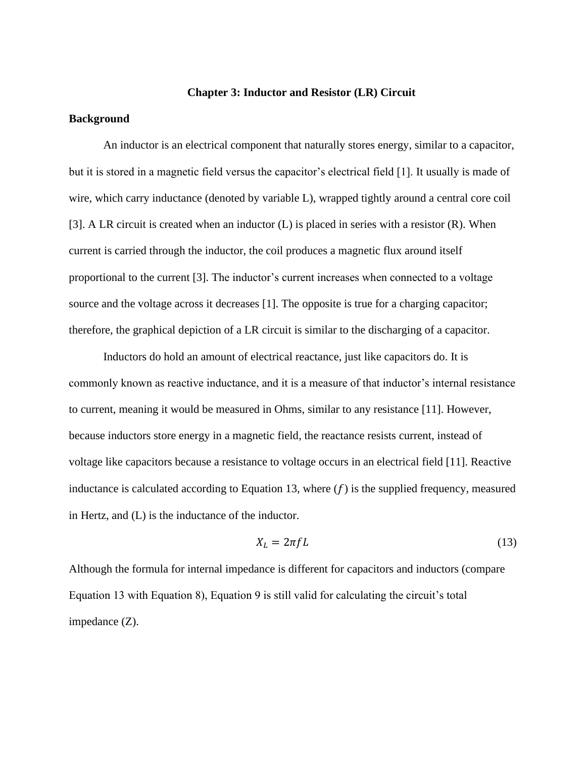#### **Chapter 3: Inductor and Resistor (LR) Circuit**

#### **Background**

An inductor is an electrical component that naturally stores energy, similar to a capacitor, but it is stored in a magnetic field versus the capacitor's electrical field [1]. It usually is made of wire, which carry inductance (denoted by variable L), wrapped tightly around a central core coil [3]. A LR circuit is created when an inductor  $(L)$  is placed in series with a resistor  $(R)$ . When current is carried through the inductor, the coil produces a magnetic flux around itself proportional to the current [3]. The inductor's current increases when connected to a voltage source and the voltage across it decreases [1]. The opposite is true for a charging capacitor; therefore, the graphical depiction of a LR circuit is similar to the discharging of a capacitor.

Inductors do hold an amount of electrical reactance, just like capacitors do. It is commonly known as reactive inductance, and it is a measure of that inductor's internal resistance to current, meaning it would be measured in Ohms, similar to any resistance [11]. However, because inductors store energy in a magnetic field, the reactance resists current, instead of voltage like capacitors because a resistance to voltage occurs in an electrical field [11]. Reactive inductance is calculated according to Equation 13, where  $(f)$  is the supplied frequency, measured in Hertz, and (L) is the inductance of the inductor.

$$
X_L = 2\pi f L \tag{13}
$$

Although the formula for internal impedance is different for capacitors and inductors (compare Equation 13 with Equation 8), Equation 9 is still valid for calculating the circuit's total impedance (Z).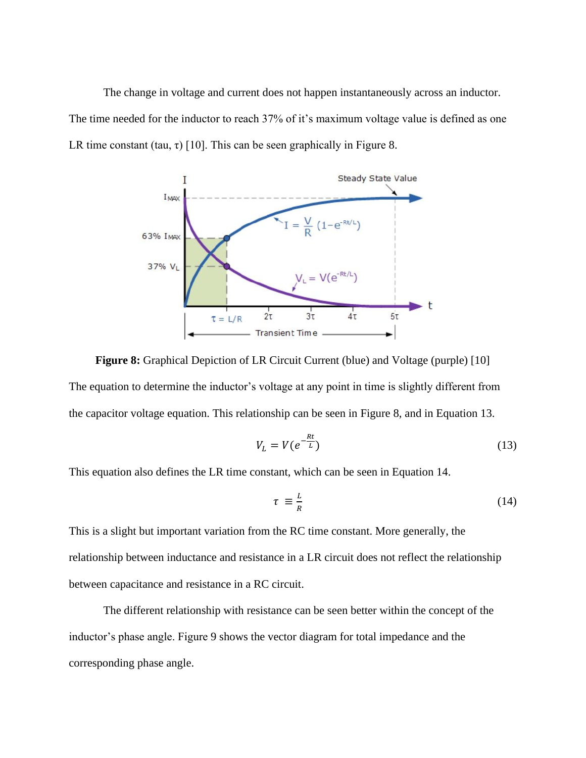The change in voltage and current does not happen instantaneously across an inductor. The time needed for the inductor to reach 37% of it's maximum voltage value is defined as one LR time constant (tau,  $\tau$ ) [10]. This can be seen graphically in Figure 8.



**Figure 8:** Graphical Depiction of LR Circuit Current (blue) and Voltage (purple) [10] The equation to determine the inductor's voltage at any point in time is slightly different from the capacitor voltage equation. This relationship can be seen in Figure 8, and in Equation 13.

$$
V_L = V(e^{-\frac{Rt}{L}})
$$
\n(13)

This equation also defines the LR time constant, which can be seen in Equation 14.

$$
\tau \equiv \frac{L}{R} \tag{14}
$$

This is a slight but important variation from the RC time constant. More generally, the relationship between inductance and resistance in a LR circuit does not reflect the relationship between capacitance and resistance in a RC circuit.

The different relationship with resistance can be seen better within the concept of the inductor's phase angle. Figure 9 shows the vector diagram for total impedance and the corresponding phase angle.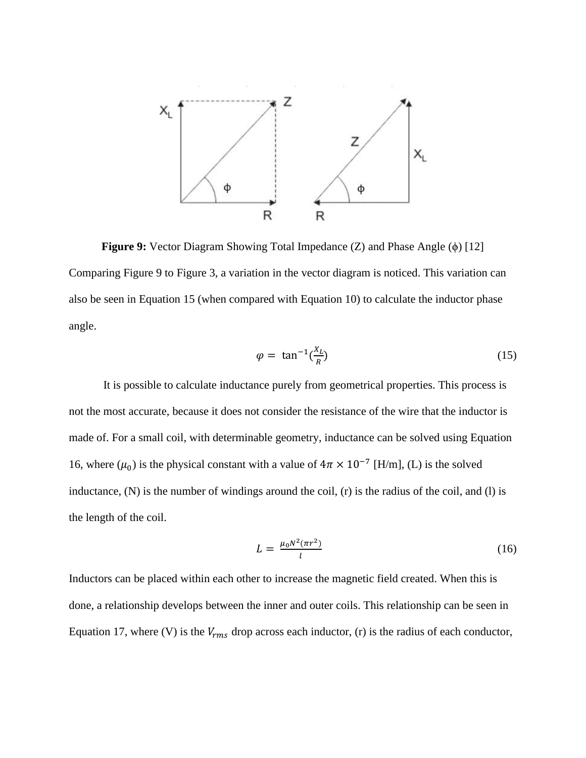

**Figure 9:** Vector Diagram Showing Total Impedance (Z) and Phase Angle (ϕ) [12] Comparing Figure 9 to Figure 3, a variation in the vector diagram is noticed. This variation can also be seen in Equation 15 (when compared with Equation 10) to calculate the inductor phase angle.

$$
\varphi = \tan^{-1}\left(\frac{X_L}{R}\right) \tag{15}
$$

It is possible to calculate inductance purely from geometrical properties. This process is not the most accurate, because it does not consider the resistance of the wire that the inductor is made of. For a small coil, with determinable geometry, inductance can be solved using Equation 16, where ( $\mu_0$ ) is the physical constant with a value of  $4\pi \times 10^{-7}$  [H/m], (L) is the solved inductance, (N) is the number of windings around the coil, (r) is the radius of the coil, and (l) is the length of the coil.

$$
L = \frac{\mu_0 N^2 (\pi r^2)}{l} \tag{16}
$$

Inductors can be placed within each other to increase the magnetic field created. When this is done, a relationship develops between the inner and outer coils. This relationship can be seen in Equation 17, where (V) is the  $V_{rms}$  drop across each inductor, (r) is the radius of each conductor,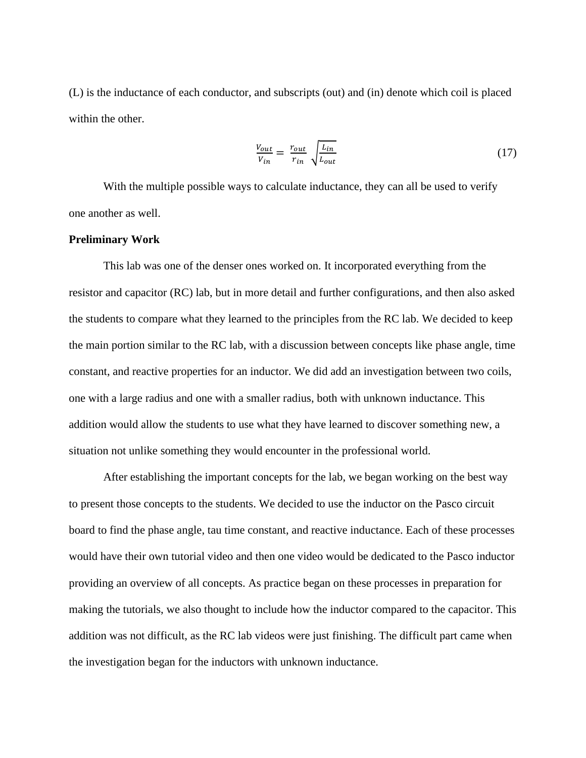(L) is the inductance of each conductor, and subscripts (out) and (in) denote which coil is placed within the other.

$$
\frac{V_{out}}{V_{in}} = \frac{r_{out}}{r_{in}} \sqrt{\frac{L_{in}}{L_{out}}} \tag{17}
$$

With the multiple possible ways to calculate inductance, they can all be used to verify one another as well.

#### **Preliminary Work**

This lab was one of the denser ones worked on. It incorporated everything from the resistor and capacitor (RC) lab, but in more detail and further configurations, and then also asked the students to compare what they learned to the principles from the RC lab. We decided to keep the main portion similar to the RC lab, with a discussion between concepts like phase angle, time constant, and reactive properties for an inductor. We did add an investigation between two coils, one with a large radius and one with a smaller radius, both with unknown inductance. This addition would allow the students to use what they have learned to discover something new, a situation not unlike something they would encounter in the professional world.

After establishing the important concepts for the lab, we began working on the best way to present those concepts to the students. We decided to use the inductor on the Pasco circuit board to find the phase angle, tau time constant, and reactive inductance. Each of these processes would have their own tutorial video and then one video would be dedicated to the Pasco inductor providing an overview of all concepts. As practice began on these processes in preparation for making the tutorials, we also thought to include how the inductor compared to the capacitor. This addition was not difficult, as the RC lab videos were just finishing. The difficult part came when the investigation began for the inductors with unknown inductance.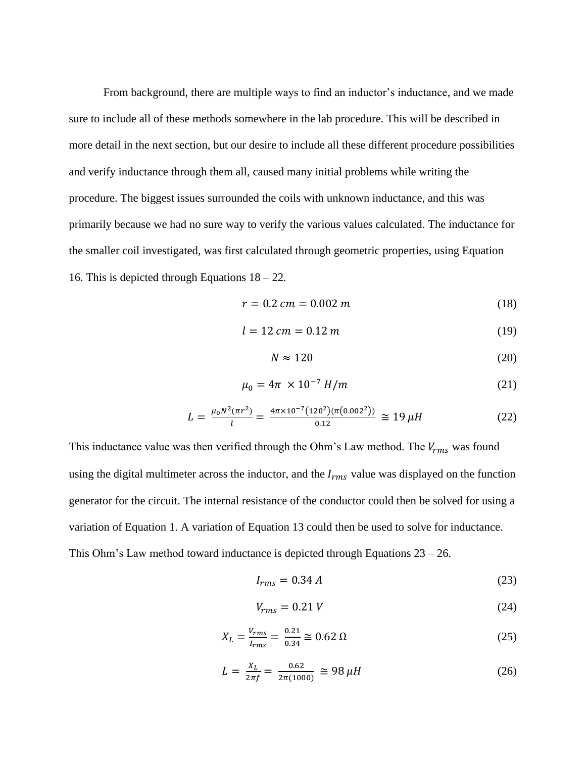From background, there are multiple ways to find an inductor's inductance, and we made sure to include all of these methods somewhere in the lab procedure. This will be described in more detail in the next section, but our desire to include all these different procedure possibilities and verify inductance through them all, caused many initial problems while writing the procedure. The biggest issues surrounded the coils with unknown inductance, and this was primarily because we had no sure way to verify the various values calculated. The inductance for the smaller coil investigated, was first calculated through geometric properties, using Equation 16. This is depicted through Equations 18 – 22.

$$
r = 0.2 \, \text{cm} = 0.002 \, \text{m} \tag{18}
$$

$$
l = 12 \, \text{cm} = 0.12 \, \text{m} \tag{19}
$$

$$
N \approx 120\tag{20}
$$

$$
\mu_0 = 4\pi \times 10^{-7} \, H/m \tag{21}
$$

$$
L = \frac{\mu_0 N^2 (\pi r^2)}{l} = \frac{4\pi \times 10^{-7} (120^2)(\pi (0.002^2))}{0.12} \approx 19 \,\mu H \tag{22}
$$

This inductance value was then verified through the Ohm's Law method. The  $V_{rms}$  was found using the digital multimeter across the inductor, and the  $I_{rms}$  value was displayed on the function generator for the circuit. The internal resistance of the conductor could then be solved for using a variation of Equation 1. A variation of Equation 13 could then be used to solve for inductance. This Ohm's Law method toward inductance is depicted through Equations  $23 - 26$ .

$$
I_{rms} = 0.34 A \tag{23}
$$

$$
V_{rms} = 0.21 V \tag{24}
$$

$$
X_L = \frac{V_{rms}}{I_{rms}} = \frac{0.21}{0.34} \approx 0.62 \,\Omega \tag{25}
$$

$$
L = \frac{x_L}{2\pi f} = \frac{0.62}{2\pi (1000)} \approx 98 \,\mu H \tag{26}
$$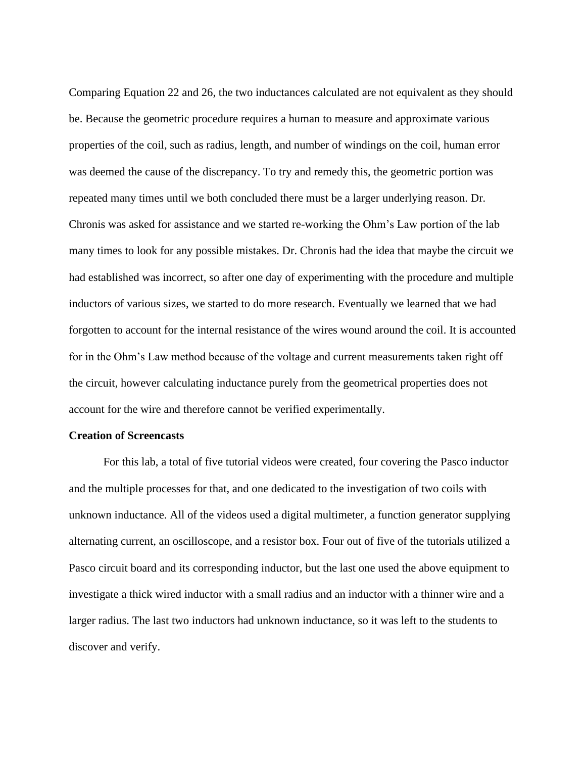Comparing Equation 22 and 26, the two inductances calculated are not equivalent as they should be. Because the geometric procedure requires a human to measure and approximate various properties of the coil, such as radius, length, and number of windings on the coil, human error was deemed the cause of the discrepancy. To try and remedy this, the geometric portion was repeated many times until we both concluded there must be a larger underlying reason. Dr. Chronis was asked for assistance and we started re-working the Ohm's Law portion of the lab many times to look for any possible mistakes. Dr. Chronis had the idea that maybe the circuit we had established was incorrect, so after one day of experimenting with the procedure and multiple inductors of various sizes, we started to do more research. Eventually we learned that we had forgotten to account for the internal resistance of the wires wound around the coil. It is accounted for in the Ohm's Law method because of the voltage and current measurements taken right off the circuit, however calculating inductance purely from the geometrical properties does not account for the wire and therefore cannot be verified experimentally.

#### **Creation of Screencasts**

For this lab, a total of five tutorial videos were created, four covering the Pasco inductor and the multiple processes for that, and one dedicated to the investigation of two coils with unknown inductance. All of the videos used a digital multimeter, a function generator supplying alternating current, an oscilloscope, and a resistor box. Four out of five of the tutorials utilized a Pasco circuit board and its corresponding inductor, but the last one used the above equipment to investigate a thick wired inductor with a small radius and an inductor with a thinner wire and a larger radius. The last two inductors had unknown inductance, so it was left to the students to discover and verify.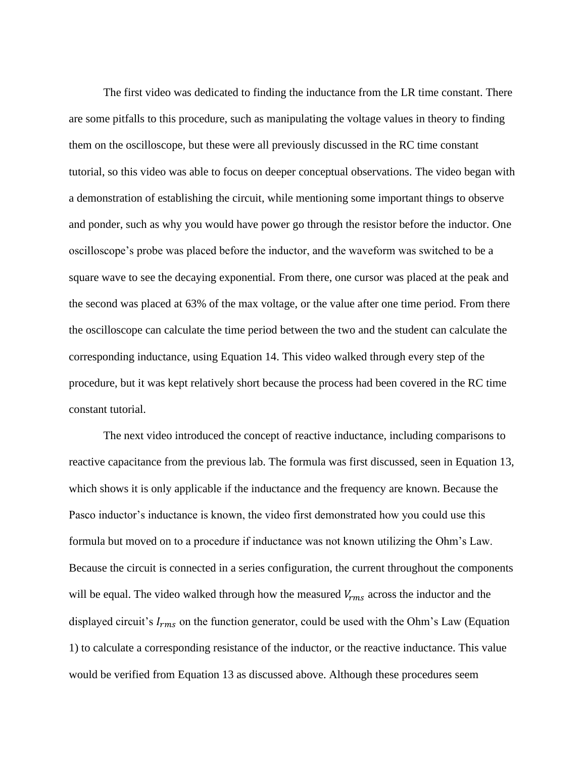The first video was dedicated to finding the inductance from the LR time constant. There are some pitfalls to this procedure, such as manipulating the voltage values in theory to finding them on the oscilloscope, but these were all previously discussed in the RC time constant tutorial, so this video was able to focus on deeper conceptual observations. The video began with a demonstration of establishing the circuit, while mentioning some important things to observe and ponder, such as why you would have power go through the resistor before the inductor. One oscilloscope's probe was placed before the inductor, and the waveform was switched to be a square wave to see the decaying exponential. From there, one cursor was placed at the peak and the second was placed at 63% of the max voltage, or the value after one time period. From there the oscilloscope can calculate the time period between the two and the student can calculate the corresponding inductance, using Equation 14. This video walked through every step of the procedure, but it was kept relatively short because the process had been covered in the RC time constant tutorial.

The next video introduced the concept of reactive inductance, including comparisons to reactive capacitance from the previous lab. The formula was first discussed, seen in Equation 13, which shows it is only applicable if the inductance and the frequency are known. Because the Pasco inductor's inductance is known, the video first demonstrated how you could use this formula but moved on to a procedure if inductance was not known utilizing the Ohm's Law. Because the circuit is connected in a series configuration, the current throughout the components will be equal. The video walked through how the measured  $V_{rms}$  across the inductor and the displayed circuit's  $I_{rms}$  on the function generator, could be used with the Ohm's Law (Equation 1) to calculate a corresponding resistance of the inductor, or the reactive inductance. This value would be verified from Equation 13 as discussed above. Although these procedures seem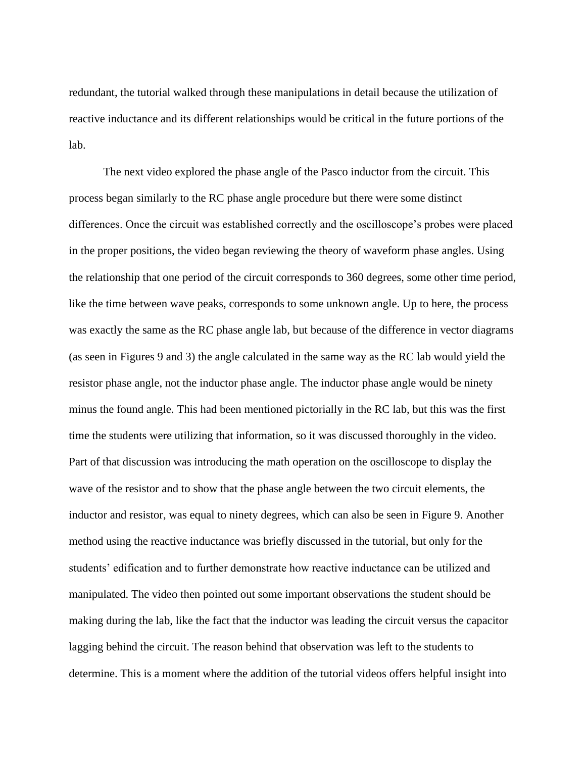redundant, the tutorial walked through these manipulations in detail because the utilization of reactive inductance and its different relationships would be critical in the future portions of the lab.

The next video explored the phase angle of the Pasco inductor from the circuit. This process began similarly to the RC phase angle procedure but there were some distinct differences. Once the circuit was established correctly and the oscilloscope's probes were placed in the proper positions, the video began reviewing the theory of waveform phase angles. Using the relationship that one period of the circuit corresponds to 360 degrees, some other time period, like the time between wave peaks, corresponds to some unknown angle. Up to here, the process was exactly the same as the RC phase angle lab, but because of the difference in vector diagrams (as seen in Figures 9 and 3) the angle calculated in the same way as the RC lab would yield the resistor phase angle, not the inductor phase angle. The inductor phase angle would be ninety minus the found angle. This had been mentioned pictorially in the RC lab, but this was the first time the students were utilizing that information, so it was discussed thoroughly in the video. Part of that discussion was introducing the math operation on the oscilloscope to display the wave of the resistor and to show that the phase angle between the two circuit elements, the inductor and resistor, was equal to ninety degrees, which can also be seen in Figure 9. Another method using the reactive inductance was briefly discussed in the tutorial, but only for the students' edification and to further demonstrate how reactive inductance can be utilized and manipulated. The video then pointed out some important observations the student should be making during the lab, like the fact that the inductor was leading the circuit versus the capacitor lagging behind the circuit. The reason behind that observation was left to the students to determine. This is a moment where the addition of the tutorial videos offers helpful insight into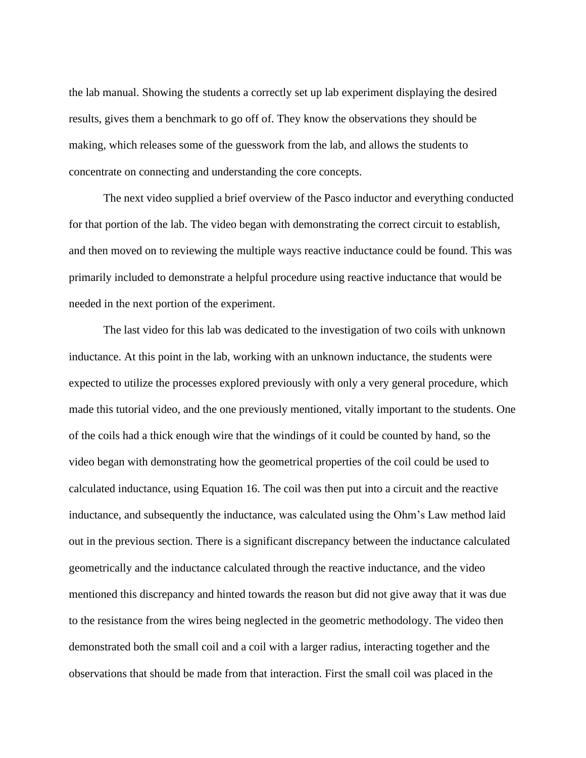the lab manual. Showing the students a correctly set up lab experiment displaying the desired results, gives them a benchmark to go off of. They know the observations they should be making, which releases some of the guesswork from the lab, and allows the students to concentrate on connecting and understanding the core concepts.

The next video supplied a brief overview of the Pasco inductor and everything conducted for that portion of the lab. The video began with demonstrating the correct circuit to establish, and then moved on to reviewing the multiple ways reactive inductance could be found. This was primarily included to demonstrate a helpful procedure using reactive inductance that would be needed in the next portion of the experiment.

The last video for this lab was dedicated to the investigation of two coils with unknown inductance. At this point in the lab, working with an unknown inductance, the students were expected to utilize the processes explored previously with only a very general procedure, which made this tutorial video, and the one previously mentioned, vitally important to the students. One of the coils had a thick enough wire that the windings of it could be counted by hand, so the video began with demonstrating how the geometrical properties of the coil could be used to calculated inductance, using Equation 16. The coil was then put into a circuit and the reactive inductance, and subsequently the inductance, was calculated using the Ohm's Law method laid out in the previous section. There is a significant discrepancy between the inductance calculated geometrically and the inductance calculated through the reactive inductance, and the video mentioned this discrepancy and hinted towards the reason but did not give away that it was due to the resistance from the wires being neglected in the geometric methodology. The video then demonstrated both the small coil and a coil with a larger radius, interacting together and the observations that should be made from that interaction. First the small coil was placed in the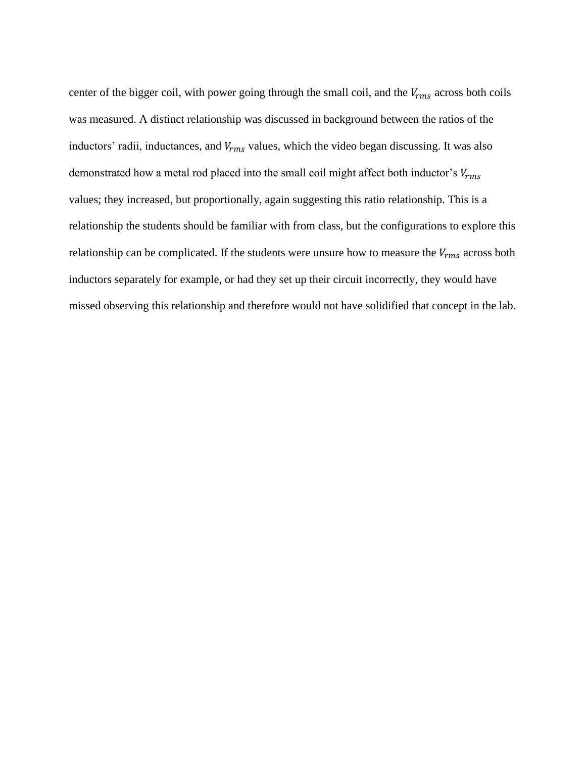center of the bigger coil, with power going through the small coil, and the  $V_{rms}$  across both coils was measured. A distinct relationship was discussed in background between the ratios of the inductors' radii, inductances, and  $V_{rms}$  values, which the video began discussing. It was also demonstrated how a metal rod placed into the small coil might affect both inductor's  $V_{rms}$ values; they increased, but proportionally, again suggesting this ratio relationship. This is a relationship the students should be familiar with from class, but the configurations to explore this relationship can be complicated. If the students were unsure how to measure the  $V_{rms}$  across both inductors separately for example, or had they set up their circuit incorrectly, they would have missed observing this relationship and therefore would not have solidified that concept in the lab.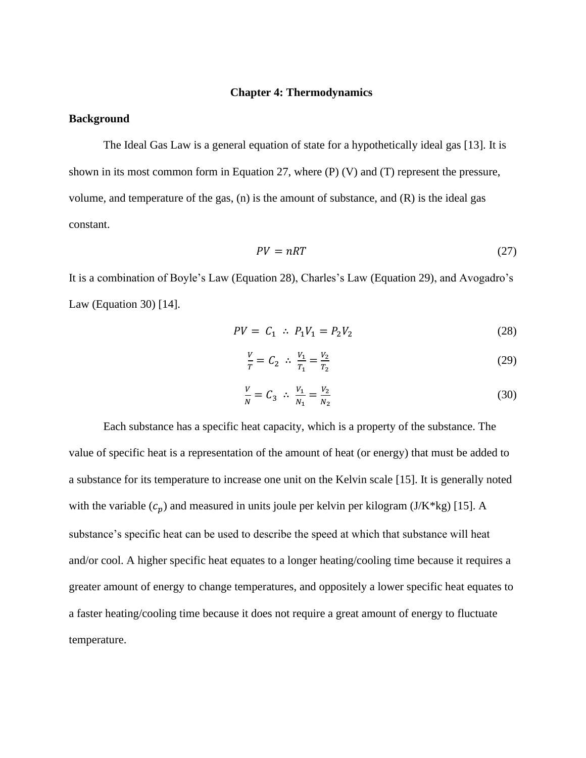#### **Chapter 4: Thermodynamics**

#### **Background**

The Ideal Gas Law is a general equation of state for a hypothetically ideal gas [13]. It is shown in its most common form in Equation 27, where (P) (V) and (T) represent the pressure, volume, and temperature of the gas, (n) is the amount of substance, and (R) is the ideal gas constant.

$$
PV = nRT \tag{27}
$$

It is a combination of Boyle's Law (Equation 28), Charles's Law (Equation 29), and Avogadro's Law (Equation 30) [14].

$$
PV = C_1 \therefore P_1 V_1 = P_2 V_2 \tag{28}
$$

$$
\frac{V}{T} = C_2 \ \therefore \ \frac{V_1}{T_1} = \frac{V_2}{T_2} \tag{29}
$$

$$
\frac{V}{N} = C_3 \quad \therefore \quad \frac{V_1}{N_1} = \frac{V_2}{N_2} \tag{30}
$$

Each substance has a specific heat capacity, which is a property of the substance. The value of specific heat is a representation of the amount of heat (or energy) that must be added to a substance for its temperature to increase one unit on the Kelvin scale [15]. It is generally noted with the variable  $(c_p)$  and measured in units joule per kelvin per kilogram (J/K\*kg) [15]. A substance's specific heat can be used to describe the speed at which that substance will heat and/or cool. A higher specific heat equates to a longer heating/cooling time because it requires a greater amount of energy to change temperatures, and oppositely a lower specific heat equates to a faster heating/cooling time because it does not require a great amount of energy to fluctuate temperature.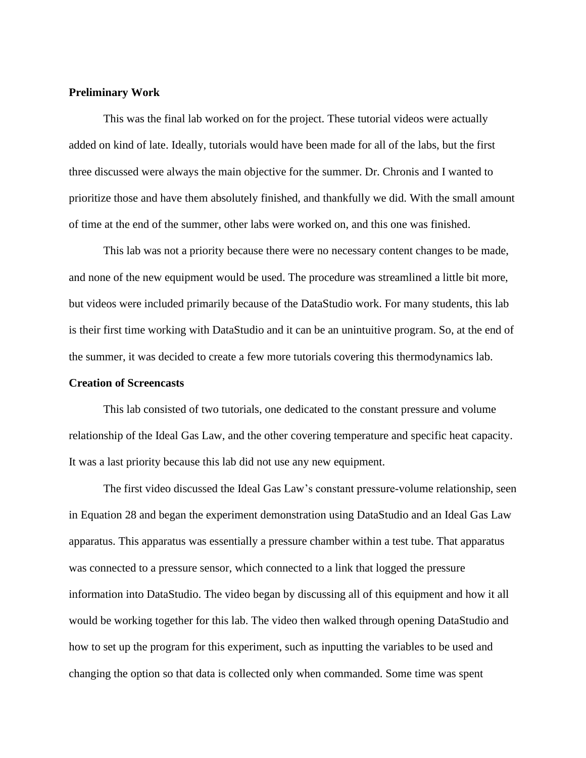#### **Preliminary Work**

This was the final lab worked on for the project. These tutorial videos were actually added on kind of late. Ideally, tutorials would have been made for all of the labs, but the first three discussed were always the main objective for the summer. Dr. Chronis and I wanted to prioritize those and have them absolutely finished, and thankfully we did. With the small amount of time at the end of the summer, other labs were worked on, and this one was finished.

This lab was not a priority because there were no necessary content changes to be made, and none of the new equipment would be used. The procedure was streamlined a little bit more, but videos were included primarily because of the DataStudio work. For many students, this lab is their first time working with DataStudio and it can be an unintuitive program. So, at the end of the summer, it was decided to create a few more tutorials covering this thermodynamics lab.

#### **Creation of Screencasts**

This lab consisted of two tutorials, one dedicated to the constant pressure and volume relationship of the Ideal Gas Law, and the other covering temperature and specific heat capacity. It was a last priority because this lab did not use any new equipment.

The first video discussed the Ideal Gas Law's constant pressure-volume relationship, seen in Equation 28 and began the experiment demonstration using DataStudio and an Ideal Gas Law apparatus. This apparatus was essentially a pressure chamber within a test tube. That apparatus was connected to a pressure sensor, which connected to a link that logged the pressure information into DataStudio. The video began by discussing all of this equipment and how it all would be working together for this lab. The video then walked through opening DataStudio and how to set up the program for this experiment, such as inputting the variables to be used and changing the option so that data is collected only when commanded. Some time was spent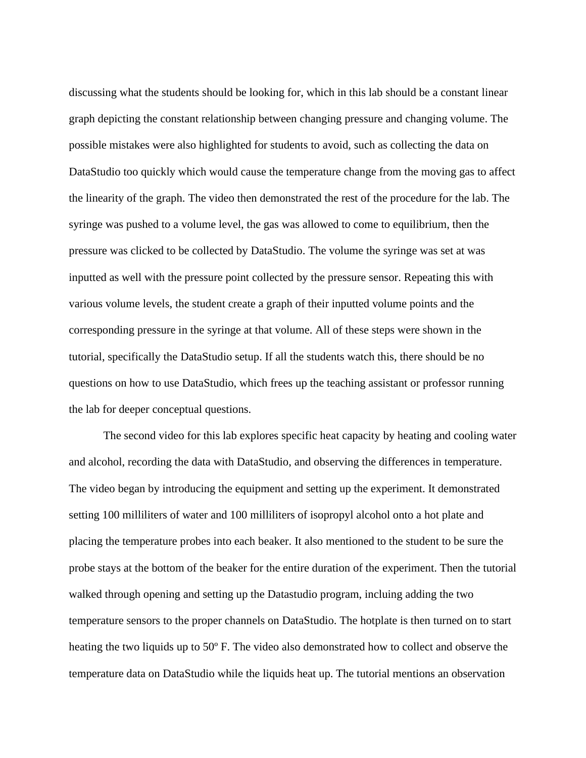discussing what the students should be looking for, which in this lab should be a constant linear graph depicting the constant relationship between changing pressure and changing volume. The possible mistakes were also highlighted for students to avoid, such as collecting the data on DataStudio too quickly which would cause the temperature change from the moving gas to affect the linearity of the graph. The video then demonstrated the rest of the procedure for the lab. The syringe was pushed to a volume level, the gas was allowed to come to equilibrium, then the pressure was clicked to be collected by DataStudio. The volume the syringe was set at was inputted as well with the pressure point collected by the pressure sensor. Repeating this with various volume levels, the student create a graph of their inputted volume points and the corresponding pressure in the syringe at that volume. All of these steps were shown in the tutorial, specifically the DataStudio setup. If all the students watch this, there should be no questions on how to use DataStudio, which frees up the teaching assistant or professor running the lab for deeper conceptual questions.

The second video for this lab explores specific heat capacity by heating and cooling water and alcohol, recording the data with DataStudio, and observing the differences in temperature. The video began by introducing the equipment and setting up the experiment. It demonstrated setting 100 milliliters of water and 100 milliliters of isopropyl alcohol onto a hot plate and placing the temperature probes into each beaker. It also mentioned to the student to be sure the probe stays at the bottom of the beaker for the entire duration of the experiment. Then the tutorial walked through opening and setting up the Datastudio program, incluing adding the two temperature sensors to the proper channels on DataStudio. The hotplate is then turned on to start heating the two liquids up to 50º F. The video also demonstrated how to collect and observe the temperature data on DataStudio while the liquids heat up. The tutorial mentions an observation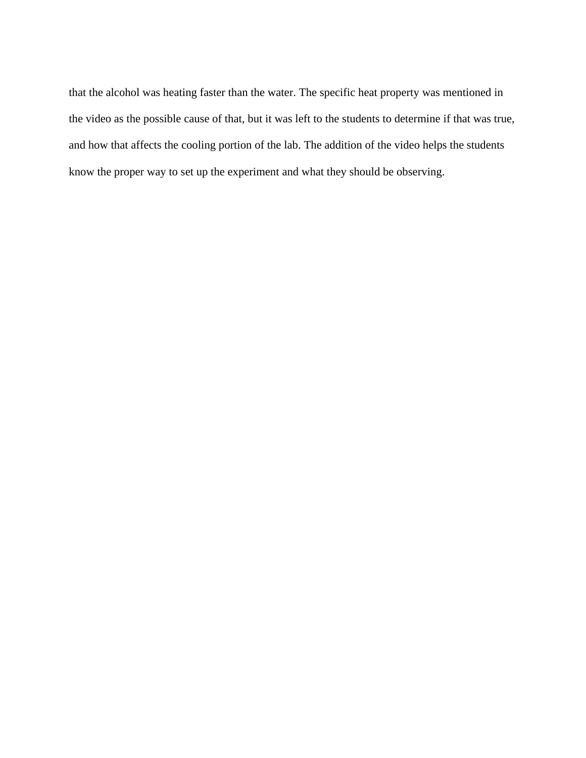that the alcohol was heating faster than the water. The specific heat property was mentioned in the video as the possible cause of that, but it was left to the students to determine if that was true, and how that affects the cooling portion of the lab. The addition of the video helps the students know the proper way to set up the experiment and what they should be observing.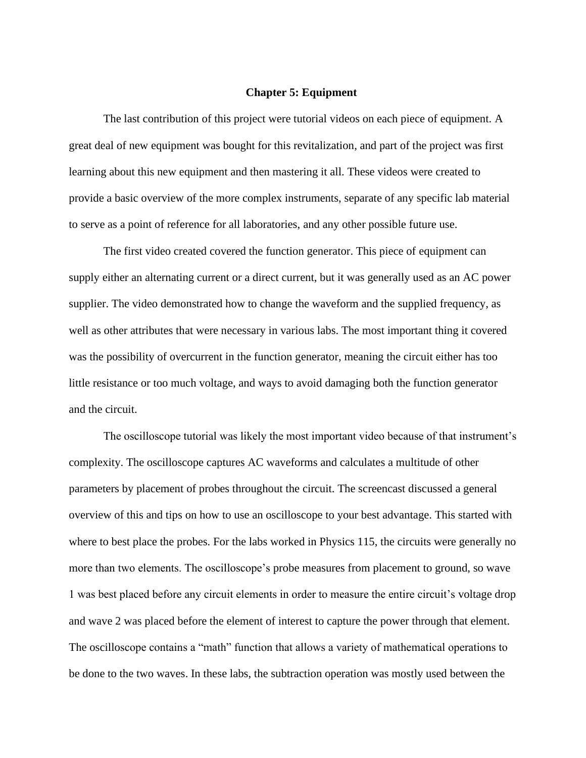#### **Chapter 5: Equipment**

The last contribution of this project were tutorial videos on each piece of equipment. A great deal of new equipment was bought for this revitalization, and part of the project was first learning about this new equipment and then mastering it all. These videos were created to provide a basic overview of the more complex instruments, separate of any specific lab material to serve as a point of reference for all laboratories, and any other possible future use.

The first video created covered the function generator. This piece of equipment can supply either an alternating current or a direct current, but it was generally used as an AC power supplier. The video demonstrated how to change the waveform and the supplied frequency, as well as other attributes that were necessary in various labs. The most important thing it covered was the possibility of overcurrent in the function generator, meaning the circuit either has too little resistance or too much voltage, and ways to avoid damaging both the function generator and the circuit.

The oscilloscope tutorial was likely the most important video because of that instrument's complexity. The oscilloscope captures AC waveforms and calculates a multitude of other parameters by placement of probes throughout the circuit. The screencast discussed a general overview of this and tips on how to use an oscilloscope to your best advantage. This started with where to best place the probes. For the labs worked in Physics 115, the circuits were generally no more than two elements. The oscilloscope's probe measures from placement to ground, so wave 1 was best placed before any circuit elements in order to measure the entire circuit's voltage drop and wave 2 was placed before the element of interest to capture the power through that element. The oscilloscope contains a "math" function that allows a variety of mathematical operations to be done to the two waves. In these labs, the subtraction operation was mostly used between the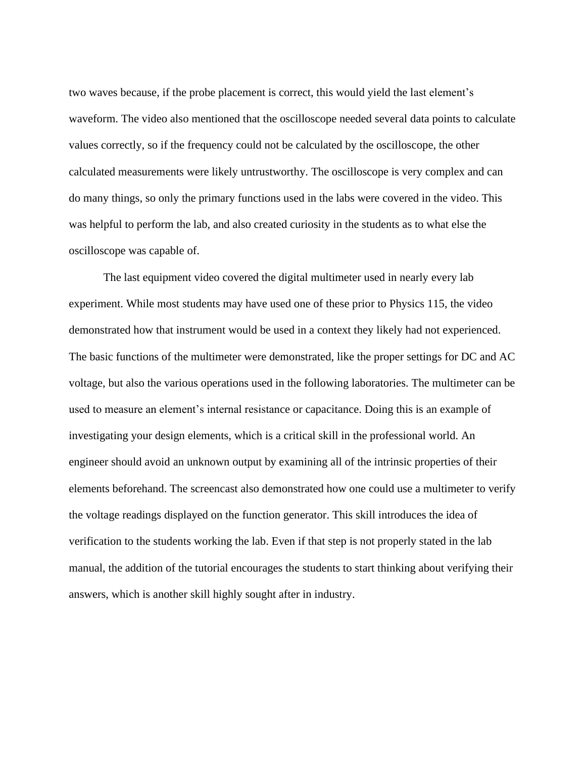two waves because, if the probe placement is correct, this would yield the last element's waveform. The video also mentioned that the oscilloscope needed several data points to calculate values correctly, so if the frequency could not be calculated by the oscilloscope, the other calculated measurements were likely untrustworthy. The oscilloscope is very complex and can do many things, so only the primary functions used in the labs were covered in the video. This was helpful to perform the lab, and also created curiosity in the students as to what else the oscilloscope was capable of.

The last equipment video covered the digital multimeter used in nearly every lab experiment. While most students may have used one of these prior to Physics 115, the video demonstrated how that instrument would be used in a context they likely had not experienced. The basic functions of the multimeter were demonstrated, like the proper settings for DC and AC voltage, but also the various operations used in the following laboratories. The multimeter can be used to measure an element's internal resistance or capacitance. Doing this is an example of investigating your design elements, which is a critical skill in the professional world. An engineer should avoid an unknown output by examining all of the intrinsic properties of their elements beforehand. The screencast also demonstrated how one could use a multimeter to verify the voltage readings displayed on the function generator. This skill introduces the idea of verification to the students working the lab. Even if that step is not properly stated in the lab manual, the addition of the tutorial encourages the students to start thinking about verifying their answers, which is another skill highly sought after in industry.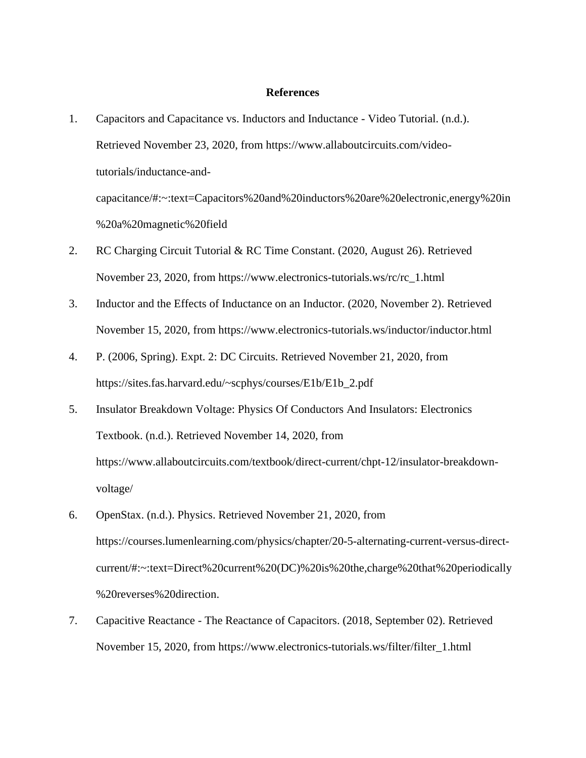#### **References**

1. Capacitors and Capacitance vs. Inductors and Inductance - Video Tutorial. (n.d.). Retrieved November 23, 2020, from https://www.allaboutcircuits.com/videotutorials/inductance-andcapacitance/#:~:text=Capacitors%20and%20inductors%20are%20electronic,energy%20in

%20a%20magnetic%20field

- 2. RC Charging Circuit Tutorial & RC Time Constant. (2020, August 26). Retrieved November 23, 2020, from https://www.electronics-tutorials.ws/rc/rc\_1.html
- 3. Inductor and the Effects of Inductance on an Inductor. (2020, November 2). Retrieved November 15, 2020, from https://www.electronics-tutorials.ws/inductor/inductor.html
- 4. P. (2006, Spring). Expt. 2: DC Circuits. Retrieved November 21, 2020, from https://sites.fas.harvard.edu/~scphys/courses/E1b/E1b\_2.pdf
- 5. Insulator Breakdown Voltage: Physics Of Conductors And Insulators: Electronics Textbook. (n.d.). Retrieved November 14, 2020, from https://www.allaboutcircuits.com/textbook/direct-current/chpt-12/insulator-breakdownvoltage/
- 6. OpenStax. (n.d.). Physics. Retrieved November 21, 2020, from https://courses.lumenlearning.com/physics/chapter/20-5-alternating-current-versus-directcurrent/#:~:text=Direct%20current%20(DC)%20is%20the,charge%20that%20periodically %20reverses%20direction.
- 7. Capacitive Reactance The Reactance of Capacitors. (2018, September 02). Retrieved November 15, 2020, from https://www.electronics-tutorials.ws/filter/filter\_1.html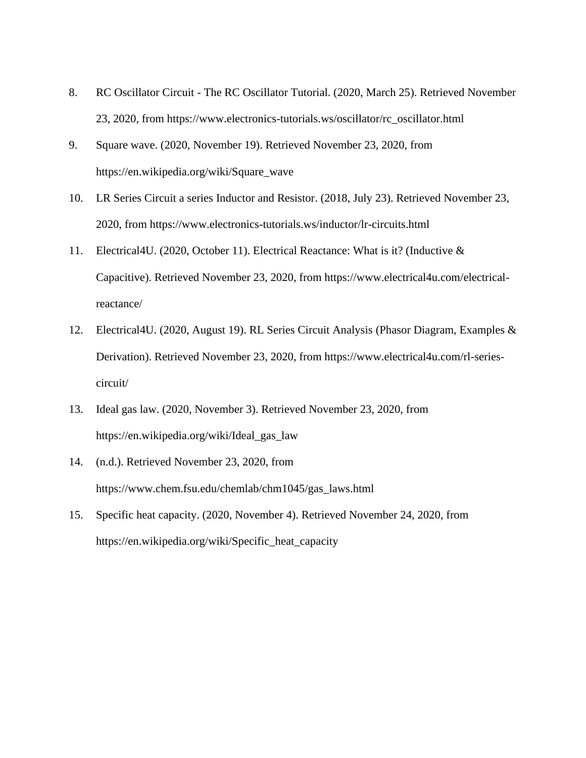- 8. RC Oscillator Circuit The RC Oscillator Tutorial. (2020, March 25). Retrieved November 23, 2020, from https://www.electronics-tutorials.ws/oscillator/rc\_oscillator.html
- 9. Square wave. (2020, November 19). Retrieved November 23, 2020, from https://en.wikipedia.org/wiki/Square\_wave
- 10. LR Series Circuit a series Inductor and Resistor. (2018, July 23). Retrieved November 23, 2020, from https://www.electronics-tutorials.ws/inductor/lr-circuits.html
- 11. Electrical4U. (2020, October 11). Electrical Reactance: What is it? (Inductive & Capacitive). Retrieved November 23, 2020, from https://www.electrical4u.com/electricalreactance/
- 12. Electrical4U. (2020, August 19). RL Series Circuit Analysis (Phasor Diagram, Examples & Derivation). Retrieved November 23, 2020, from https://www.electrical4u.com/rl-seriescircuit/
- 13. Ideal gas law. (2020, November 3). Retrieved November 23, 2020, from https://en.wikipedia.org/wiki/Ideal\_gas\_law
- 14. (n.d.). Retrieved November 23, 2020, from https://www.chem.fsu.edu/chemlab/chm1045/gas\_laws.html
- 15. Specific heat capacity. (2020, November 4). Retrieved November 24, 2020, from https://en.wikipedia.org/wiki/Specific\_heat\_capacity